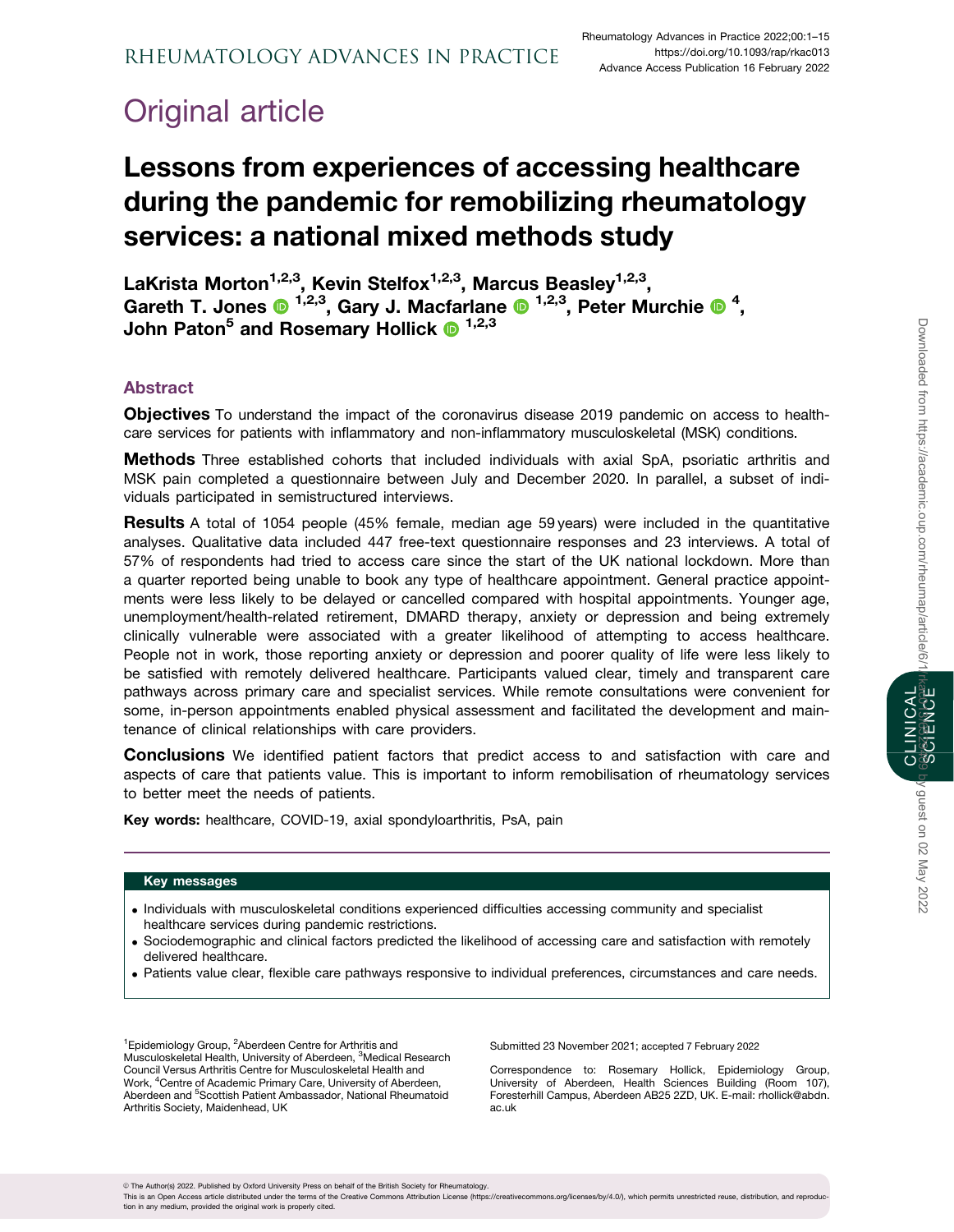# Original article

# Lessons from experiences of accessing healthcare during the pandemic for remobilizing rheumatology services: a national mixed methods study

LaKrista Morton<sup>1,2,3</sup>, Kevin Stelfox<sup>1,2,3</sup>, Marcus Beasley<sup>1,2,3</sup>, Gareth T. Jones  $\bullet$  <sup>1,2,3</sup>, Gary J. Macfarlane  $\bullet$  <sup>1,2,3</sup>, Peter Murchie  $\bullet$  <sup>4</sup>, John Paton<sup>5</sup> and Rosemary Hollick  $\bullet$  <sup>1,2,3</sup>

# Abstract

Objectives To understand the impact of the coronavirus disease 2019 pandemic on access to healthcare services for patients with inflammatory and non-inflammatory musculoskeletal (MSK) conditions.

**Methods** Three established cohorts that included individuals with axial SpA, psoriatic arthritis and MSK pain completed a questionnaire between July and December 2020. In parallel, a subset of individuals participated in semistructured interviews.

**Results** A total of 1054 people (45% female, median age 59 years) were included in the quantitative analyses. Qualitative data included 447 free-text questionnaire responses and 23 interviews. A total of 57% of respondents had tried to access care since the start of the UK national lockdown. More than a quarter reported being unable to book any type of healthcare appointment. General practice appointments were less likely to be delayed or cancelled compared with hospital appointments. Younger age, unemployment/health-related retirement, DMARD therapy, anxiety or depression and being extremely clinically vulnerable were associated with a greater likelihood of attempting to access healthcare. People not in work, those reporting anxiety or depression and poorer quality of life were less likely to be satisfied with remotely delivered healthcare. Participants valued clear, timely and transparent care pathways across primary care and specialist services. While remote consultations were convenient for some, in-person appointments enabled physical assessment and facilitated the development and maintenance of clinical relationships with care providers.

**Conclusions** We identified patient factors that predict access to and satisfaction with care and aspects of care that patients value. This is important to inform remobilisation of rheumatology services to better meet the needs of patients.

Key words: healthcare, COVID-19, axial spondyloarthritis, PsA, pain

## Key messages

- . Individuals with musculoskeletal conditions experienced difficulties accessing community and specialist healthcare services during pandemic restrictions.
- . Sociodemographic and clinical factors predicted the likelihood of accessing care and satisfaction with remotely delivered healthcare.
- . Patients value clear, flexible care pathways responsive to individual preferences, circumstances and care needs.

<sup>1</sup> Epidemiology Group, <sup>2</sup> Aberdeen Centre for Arthritis and Musculoskeletal Health, University of Aberdeen, <sup>3</sup>Medical Research Council Versus Arthritis Centre for Musculoskeletal Health and Work, <sup>4</sup>Centre of Academic Primary Care, University of Aberdeen, Aberdeen and <sup>5</sup>Scottish Patient Ambassador, National Rheumatoid Arthritis Society, Maidenhead, UK

Submitted 23 November 2021; accepted 7 February 2022

Correspondence to: Rosemary Hollick, Epidemiology Group, University of Aberdeen, Health Sciences Building (Room 107), Foresterhill Campus, Aberdeen AB25 2ZD, UK. E-mail: rhollick@abdn. ac.uk

CLINICAL

This is an Open Access article distributed under the terms of the Creative Commons Attribution License (https://creativecommons.org/licenses/by/4.0/), which permits unrestricted reuse, distribution, and reproduction in any medium, provided the original work is properly cited.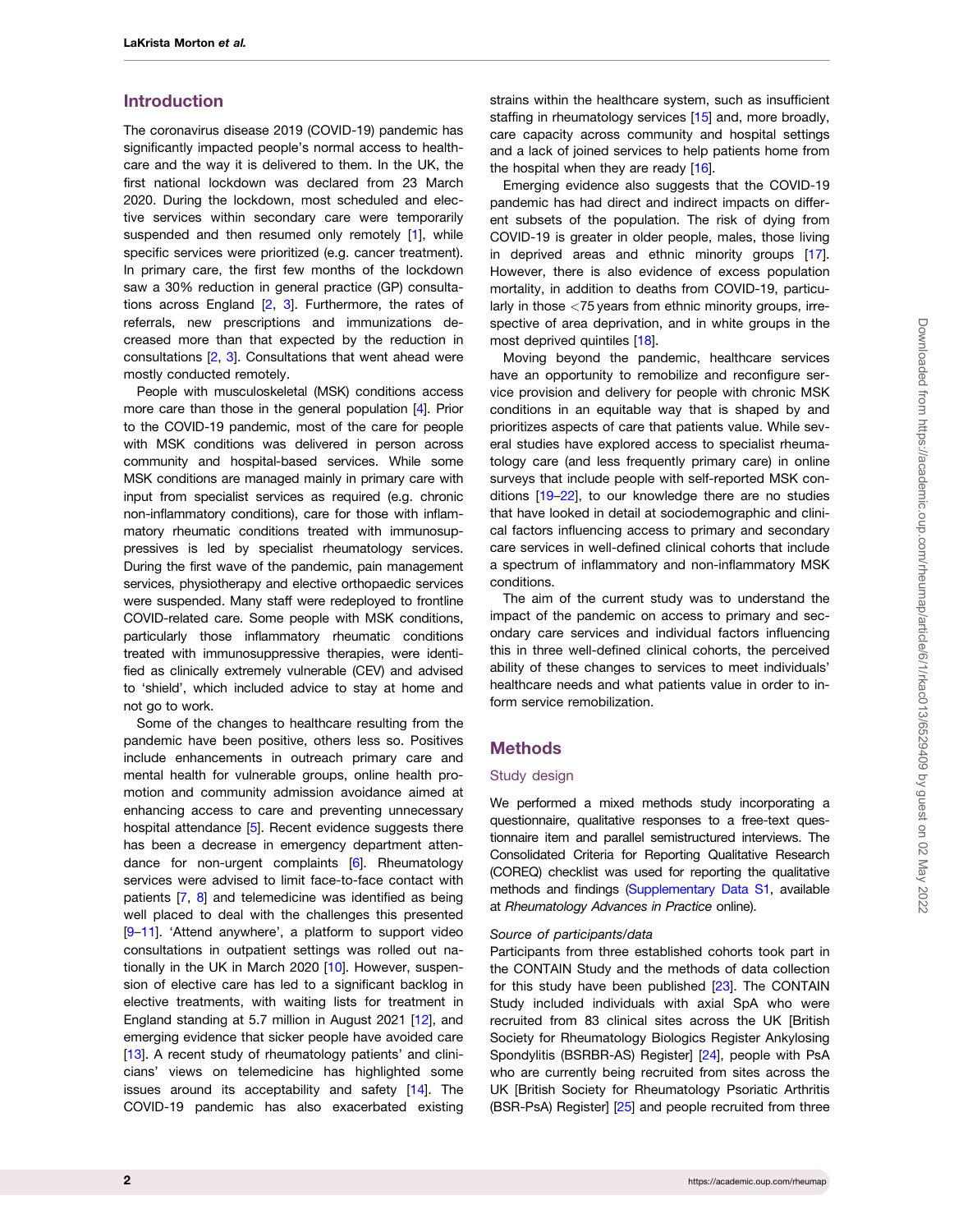## <span id="page-1-0"></span>Introduction

The coronavirus disease 2019 (COVID-19) pandemic has significantly impacted people's normal access to healthcare and the way it is delivered to them. In the UK, the first national lockdown was declared from 23 March 2020. During the lockdown, most scheduled and elective services within secondary care were temporarily suspended and then resumed only remotely [\[1\]](#page-12-0), while specific services were prioritized (e.g. cancer treatment). In primary care, the first few months of the lockdown saw a 30% reduction in general practice (GP) consultations across England [\[2](#page-12-0), [3\]](#page-12-0). Furthermore, the rates of referrals, new prescriptions and immunizations decreased more than that expected by the reduction in consultations [\[2,](#page-12-0) [3](#page-12-0)]. Consultations that went ahead were mostly conducted remotely.

People with musculoskeletal (MSK) conditions access more care than those in the general population [\[4](#page-12-0)]. Prior to the COVID-19 pandemic, most of the care for people with MSK conditions was delivered in person across community and hospital-based services. While some MSK conditions are managed mainly in primary care with input from specialist services as required (e.g. chronic non-inflammatory conditions), care for those with inflammatory rheumatic conditions treated with immunosuppressives is led by specialist rheumatology services. During the first wave of the pandemic, pain management services, physiotherapy and elective orthopaedic services were suspended. Many staff were redeployed to frontline COVID-related care. Some people with MSK conditions, particularly those inflammatory rheumatic conditions treated with immunosuppressive therapies, were identified as clinically extremely vulnerable (CEV) and advised to 'shield', which included advice to stay at home and not go to work.

Some of the changes to healthcare resulting from the pandemic have been positive, others less so. Positives include enhancements in outreach primary care and mental health for vulnerable groups, online health promotion and community admission avoidance aimed at enhancing access to care and preventing unnecessary hospital attendance [[5](#page-12-0)]. Recent evidence suggests there has been a decrease in emergency department attendance for non-urgent complaints [\[6](#page-12-0)]. Rheumatology services were advised to limit face-to-face contact with patients [[7](#page-12-0), [8](#page-13-0)] and telemedicine was identified as being well placed to deal with the challenges this presented [[9](#page-13-0)–[11\]](#page-13-0). 'Attend anywhere', a platform to support video consultations in outpatient settings was rolled out nationally in the UK in March 2020 [\[10\]](#page-13-0). However, suspension of elective care has led to a significant backlog in elective treatments, with waiting lists for treatment in England standing at 5.7 million in August 2021 [\[12](#page-13-0)], and emerging evidence that sicker people have avoided care [[13\]](#page-13-0). A recent study of rheumatology patients' and clinicians' views on telemedicine has highlighted some issues around its acceptability and safety [\[14\]](#page-13-0). The COVID-19 pandemic has also exacerbated existing

strains within the healthcare system, such as insufficient staffing in rheumatology services [[15](#page-13-0)] and, more broadly, care capacity across community and hospital settings and a lack of joined services to help patients home from the hospital when they are ready [[16](#page-13-0)].

Emerging evidence also suggests that the COVID-19 pandemic has had direct and indirect impacts on different subsets of the population. The risk of dying from COVID-19 is greater in older people, males, those living in deprived areas and ethnic minority groups [[17](#page-13-0)]. However, there is also evidence of excess population mortality, in addition to deaths from COVID-19, particularly in those <75 years from ethnic minority groups, irrespective of area deprivation, and in white groups in the most deprived quintiles [\[18\]](#page-13-0).

Moving beyond the pandemic, healthcare services have an opportunity to remobilize and reconfigure service provision and delivery for people with chronic MSK conditions in an equitable way that is shaped by and prioritizes aspects of care that patients value. While several studies have explored access to specialist rheumatology care (and less frequently primary care) in online surveys that include people with self-reported MSK conditions [\[19–22](#page-13-0)], to our knowledge there are no studies that have looked in detail at sociodemographic and clinical factors influencing access to primary and secondary care services in well-defined clinical cohorts that include a spectrum of inflammatory and non-inflammatory MSK conditions.

The aim of the current study was to understand the impact of the pandemic on access to primary and secondary care services and individual factors influencing this in three well-defined clinical cohorts, the perceived ability of these changes to services to meet individuals' healthcare needs and what patients value in order to inform service remobilization.

## Methods

#### Study design

We performed a mixed methods study incorporating a questionnaire, qualitative responses to a free-text questionnaire item and parallel semistructured interviews. The Consolidated Criteria for Reporting Qualitative Research (COREQ) checklist was used for reporting the qualitative methods and findings ([Supplementary Data S1,](https://academic.oup.com/rheumap/article-lookup/doi/10.1093/rap/rkac013#supplementary-data) available at Rheumatology Advances in Practice online).

#### Source of participants/data

Participants from three established cohorts took part in the CONTAIN Study and the methods of data collection for this study have been published [\[23\]](#page-13-0). The CONTAIN Study included individuals with axial SpA who were recruited from 83 clinical sites across the UK [British Society for Rheumatology Biologics Register Ankylosing Spondylitis (BSRBR-AS) Register] [[24](#page-13-0)], people with PsA who are currently being recruited from sites across the UK [British Society for Rheumatology Psoriatic Arthritis (BSR-PsA) Register] [\[25\]](#page-13-0) and people recruited from three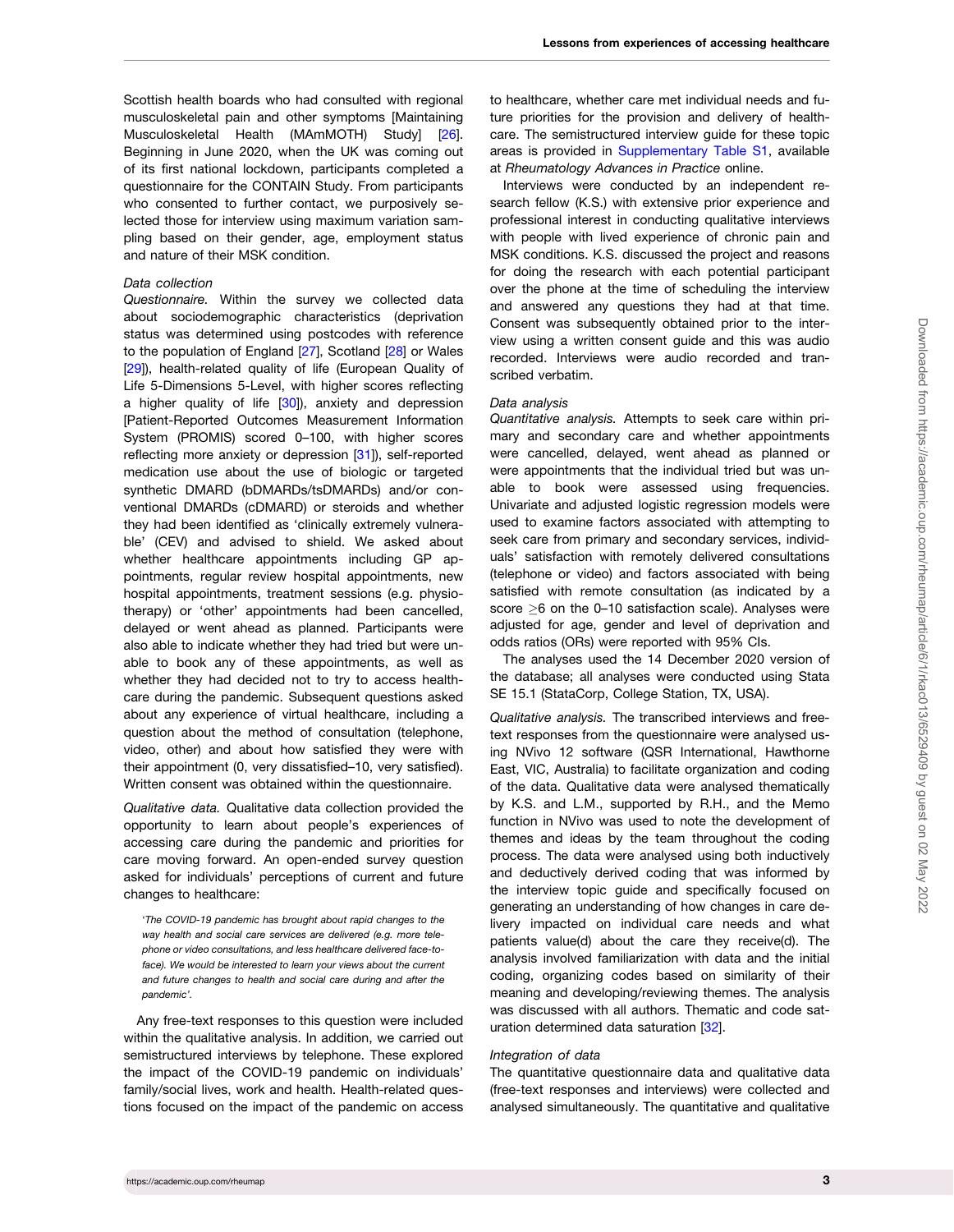<span id="page-2-0"></span>Scottish health boards who had consulted with regional musculoskeletal pain and other symptoms [Maintaining Musculoskeletal Health (MAmMOTH) Study] [[26](#page-13-0)]. Beginning in June 2020, when the UK was coming out of its first national lockdown, participants completed a questionnaire for the CONTAIN Study. From participants who consented to further contact, we purposively selected those for interview using maximum variation sampling based on their gender, age, employment status and nature of their MSK condition.

#### Data collection

Questionnaire. Within the survey we collected data about sociodemographic characteristics (deprivation status was determined using postcodes with reference to the population of England [[27](#page-13-0)], Scotland [\[28\]](#page-13-0) or Wales [[29\]](#page-13-0)), health-related quality of life (European Quality of Life 5-Dimensions 5-Level, with higher scores reflecting a higher quality of life [\[30](#page-13-0)]), anxiety and depression [Patient-Reported Outcomes Measurement Information System (PROMIS) scored 0–100, with higher scores reflecting more anxiety or depression [\[31\]](#page-13-0)), self-reported medication use about the use of biologic or targeted synthetic DMARD (bDMARDs/tsDMARDs) and/or conventional DMARDs (cDMARD) or steroids and whether they had been identified as 'clinically extremely vulnerable' (CEV) and advised to shield. We asked about whether healthcare appointments including GP appointments, regular review hospital appointments, new hospital appointments, treatment sessions (e.g. physiotherapy) or 'other' appointments had been cancelled, delayed or went ahead as planned. Participants were also able to indicate whether they had tried but were unable to book any of these appointments, as well as whether they had decided not to try to access healthcare during the pandemic. Subsequent questions asked about any experience of virtual healthcare, including a question about the method of consultation (telephone, video, other) and about how satisfied they were with their appointment (0, very dissatisfied–10, very satisfied). Written consent was obtained within the questionnaire.

Qualitative data. Qualitative data collection provided the opportunity to learn about people's experiences of accessing care during the pandemic and priorities for care moving forward. An open-ended survey question asked for individuals' perceptions of current and future changes to healthcare:

'The COVID-19 pandemic has brought about rapid changes to the way health and social care services are delivered (e.g. more telephone or video consultations, and less healthcare delivered face-toface). We would be interested to learn your views about the current and future changes to health and social care during and after the pandemic'.

Any free-text responses to this question were included within the qualitative analysis. In addition, we carried out semistructured interviews by telephone. These explored the impact of the COVID-19 pandemic on individuals' family/social lives, work and health. Health-related questions focused on the impact of the pandemic on access

to healthcare, whether care met individual needs and future priorities for the provision and delivery of healthcare. The semistructured interview guide for these topic areas is provided in [Supplementary Table S1](https://academic.oup.com/rheumap/article-lookup/doi/10.1093/rap/rkac013#supplementary-data), available at Rheumatology Advances in Practice online.

Interviews were conducted by an independent research fellow (K.S.) with extensive prior experience and professional interest in conducting qualitative interviews with people with lived experience of chronic pain and MSK conditions. K.S. discussed the project and reasons for doing the research with each potential participant over the phone at the time of scheduling the interview and answered any questions they had at that time. Consent was subsequently obtained prior to the interview using a written consent guide and this was audio recorded. Interviews were audio recorded and transcribed verbatim.

#### Data analysis

Quantitative analysis. Attempts to seek care within primary and secondary care and whether appointments were cancelled, delayed, went ahead as planned or were appointments that the individual tried but was unable to book were assessed using frequencies. Univariate and adjusted logistic regression models were used to examine factors associated with attempting to seek care from primary and secondary services, individuals' satisfaction with remotely delivered consultations (telephone or video) and factors associated with being satisfied with remote consultation (as indicated by a score  $\geq$ 6 on the 0–10 satisfaction scale). Analyses were adjusted for age, gender and level of deprivation and odds ratios (ORs) were reported with 95% CIs.

The analyses used the 14 December 2020 version of the database; all analyses were conducted using Stata SE 15.1 (StataCorp, College Station, TX, USA).

Qualitative analysis. The transcribed interviews and freetext responses from the questionnaire were analysed using NVivo 12 software (QSR International, Hawthorne East, VIC, Australia) to facilitate organization and coding of the data. Qualitative data were analysed thematically by K.S. and L.M., supported by R.H., and the Memo function in NVivo was used to note the development of themes and ideas by the team throughout the coding process. The data were analysed using both inductively and deductively derived coding that was informed by the interview topic guide and specifically focused on generating an understanding of how changes in care delivery impacted on individual care needs and what patients value(d) about the care they receive(d). The analysis involved familiarization with data and the initial coding, organizing codes based on similarity of their meaning and developing/reviewing themes. The analysis was discussed with all authors. Thematic and code saturation determined data saturation [\[32\]](#page-13-0).

#### Integration of data

The quantitative questionnaire data and qualitative data (free-text responses and interviews) were collected and analysed simultaneously. The quantitative and qualitative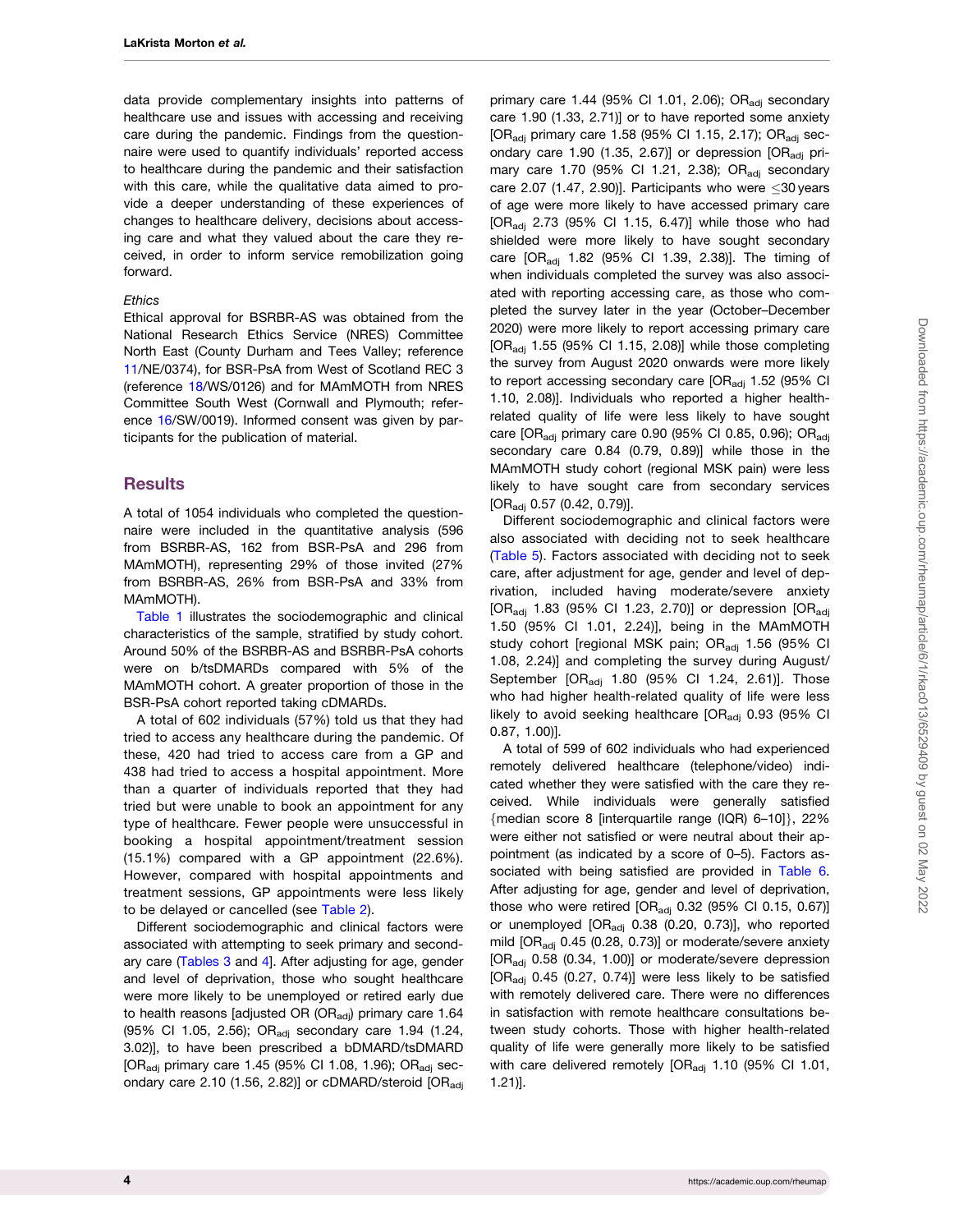<span id="page-3-0"></span>data provide complementary insights into patterns of healthcare use and issues with accessing and receiving care during the pandemic. Findings from the questionnaire were used to quantify individuals' reported access to healthcare during the pandemic and their satisfaction with this care, while the qualitative data aimed to provide a deeper understanding of these experiences of changes to healthcare delivery, decisions about accessing care and what they valued about the care they received, in order to inform service remobilization going forward.

#### **Ethics**

Ethical approval for BSRBR-AS was obtained from the National Research Ethics Service (NRES) Committee North East (County Durham and Tees Valley; reference [11/](#page-13-0)NE/0374), for BSR-PsA from West of Scotland REC 3 (reference [18](#page-13-0)/WS/0126) and for MAmMOTH from NRES Committee South West (Cornwall and Plymouth; reference [16/](#page-13-0)SW/0019). Informed consent was given by participants for the publication of material.

## **Results**

A total of 1054 individuals who completed the questionnaire were included in the quantitative analysis (596 from BSRBR-AS, 162 from BSR-PsA and 296 from MAmMOTH), representing 29% of those invited (27% from BSRBR-AS, 26% from BSR-PsA and 33% from MAmMOTH).

[Table 1](#page-4-0) illustrates the sociodemographic and clinical characteristics of the sample, stratified by study cohort. Around 50% of the BSRBR-AS and BSRBR-PsA cohorts were on b/tsDMARDs compared with 5% of the MAmMOTH cohort. A greater proportion of those in the BSR-PsA cohort reported taking cDMARDs.

A total of 602 individuals (57%) told us that they had tried to access any healthcare during the pandemic. Of these, 420 had tried to access care from a GP and 438 had tried to access a hospital appointment. More than a quarter of individuals reported that they had tried but were unable to book an appointment for any type of healthcare. Fewer people were unsuccessful in booking a hospital appointment/treatment session (15.1%) compared with a GP appointment (22.6%). However, compared with hospital appointments and treatment sessions, GP appointments were less likely to be delayed or cancelled (see [Table 2\)](#page-4-0).

Different sociodemographic and clinical factors were associated with attempting to seek primary and secondary care ([Tables 3](#page-5-0) and [4](#page-6-0)]. After adjusting for age, gender and level of deprivation, those who sought healthcare were more likely to be unemployed or retired early due to health reasons [adjusted OR (OR $_{\text{adi}}$ ) primary care 1.64 (95% CI 1.05, 2.56); OR<sub>adi</sub> secondary care 1.94 (1.24, 3.02)], to have been prescribed a bDMARD/tsDMARD [OR<sub>adi</sub> primary care 1.45 (95% CI 1.08, 1.96); OR<sub>adi</sub> secondary care 2.10 (1.56, 2.82)] or cDMARD/steroid  $[OR_{\text{adj}}]$  primary care  $1.44$  (95% CI 1.01, 2.06); OR<sub>adi</sub> secondary care 1.90 (1.33, 2.71)] or to have reported some anxiety [OR<sub>adi</sub> primary care 1.58 (95% CI 1.15, 2.17); OR<sub>adi</sub> secondary care 1.90 (1.35, 2.67)] or depression  $[OR_{\text{adj}}$  primary care 1.70 (95% Cl 1.21, 2.38); OR<sub>adi</sub> secondary care 2.07 (1.47, 2.90)]. Participants who were  $\leq$ 30 years of age were more likely to have accessed primary care [OR<sub>adi</sub> 2.73 (95% CI 1.15, 6.47)] while those who had shielded were more likely to have sought secondary care [OR<sub>adi</sub> 1.82 (95% Cl 1.39, 2.38)]. The timing of when individuals completed the survey was also associated with reporting accessing care, as those who completed the survey later in the year (October–December 2020) were more likely to report accessing primary care [OR<sub>adi</sub> 1.55 (95% CI 1.15, 2.08)] while those completing the survey from August 2020 onwards were more likely to report accessing secondary care  $[OR_{\text{adi}} 1.52 (95\% \text{ Cl})]$ 1.10, 2.08)]. Individuals who reported a higher healthrelated quality of life were less likely to have sought care  $[OR_{\text{adj}}$  primary care 0.90 (95% CI 0.85, 0.96);  $OR_{\text{adj}}$ secondary care 0.84 (0.79, 0.89)] while those in the MAmMOTH study cohort (regional MSK pain) were less likely to have sought care from secondary services  $[OR_{\text{adi}} 0.57 (0.42, 0.79)].$ 

Different sociodemographic and clinical factors were also associated with deciding not to seek healthcare ([Table 5](#page-7-0)). Factors associated with deciding not to seek care, after adjustment for age, gender and level of deprivation, included having moderate/severe anxiety [OR<sub>adj</sub> 1.83 (95% CI 1.23, 2.70)] or depression [OR<sub>adj</sub> 1.50 (95% CI 1.01, 2.24)], being in the MAmMOTH study cohort [regional MSK pain; ORadj 1.56 (95% CI 1.08, 2.24)] and completing the survey during August/ September [OR<sub>adj</sub> 1.80 (95% CI 1.24, 2.61)]. Those who had higher health-related quality of life were less likely to avoid seeking healthcare  $[OR_{\text{adi}} 0.93 (95\% \text{ Cl})]$ 0.87, 1.00)].

A total of 599 of 602 individuals who had experienced remotely delivered healthcare (telephone/video) indicated whether they were satisfied with the care they received. While individuals were generally satisfied {median score 8 [interquartile range (IQR) 6-10]}, 22% were either not satisfied or were neutral about their appointment (as indicated by a score of 0–5). Factors associated with being satisfied are provided in [Table 6.](#page-8-0) After adjusting for age, gender and level of deprivation, those who were retired  $[OR_{\text{adj}} 0.32 (95\% \text{ Cl } 0.15, 0.67)]$ or unemployed [OR<sub>adj</sub> 0.38 (0.20, 0.73)], who reported mild [OR<sub>adj</sub> 0.45 (0.28, 0.73)] or moderate/severe anxiety [OR<sub>adj</sub> 0.58 (0.34, 1.00)] or moderate/severe depression [OR<sub>adj</sub> 0.45 (0.27, 0.74)] were less likely to be satisfied with remotely delivered care. There were no differences in satisfaction with remote healthcare consultations between study cohorts. Those with higher health-related quality of life were generally more likely to be satisfied with care delivered remotely  $[OR_{\text{adj}} 1.10 (95\% \text{ Cl } 1.01,$ 1.21)].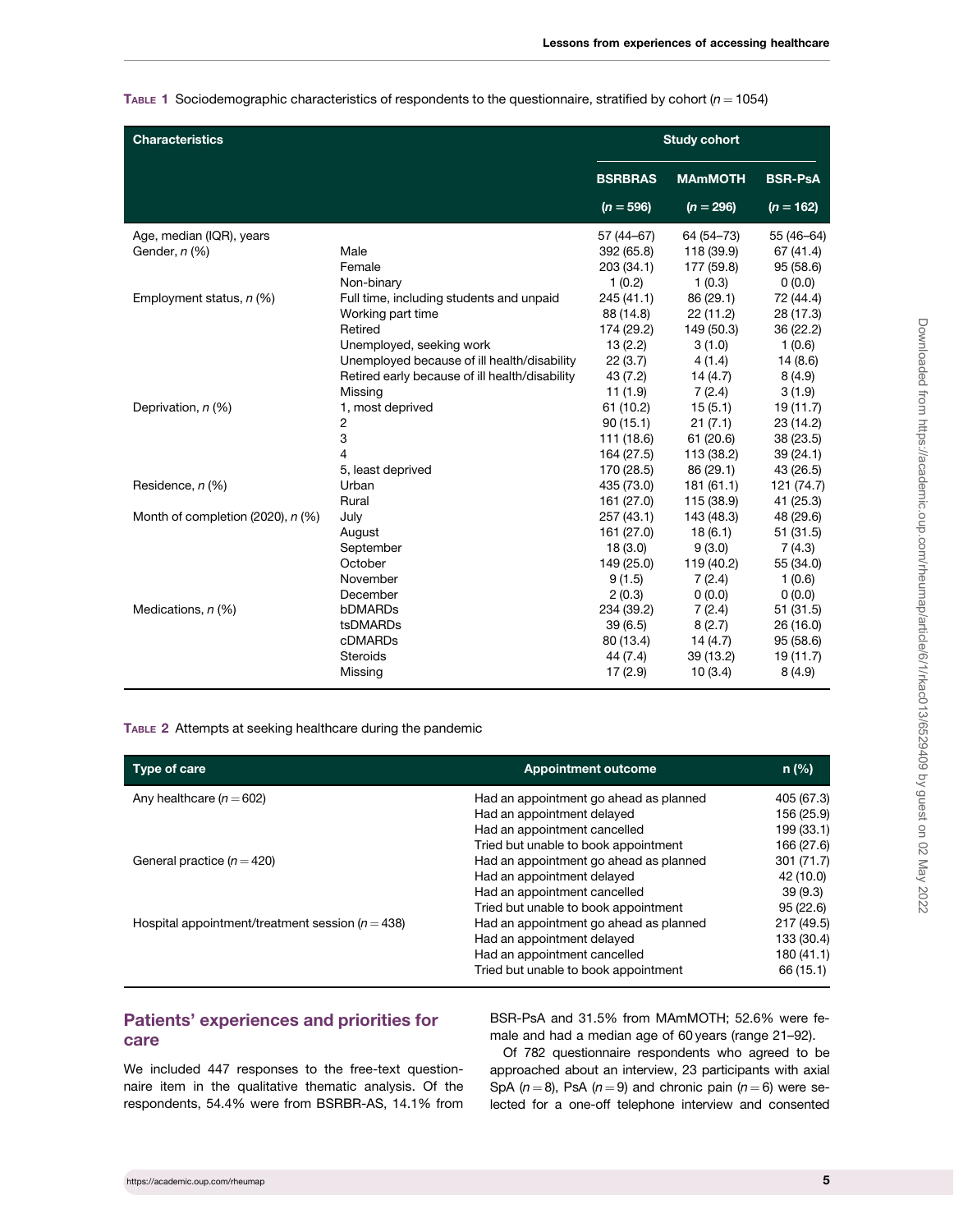<span id="page-4-0"></span>TABLE 1 Sociodemographic characteristics of respondents to the questionnaire, stratified by cohort ( $n = 1054$ )

| <b>Characteristics</b>              |                                                | <b>Study cohort</b> |                |                |  |
|-------------------------------------|------------------------------------------------|---------------------|----------------|----------------|--|
|                                     |                                                | <b>BSRBRAS</b>      | <b>MAmMOTH</b> | <b>BSR-PsA</b> |  |
|                                     |                                                | $(n = 596)$         | $(n = 296)$    | $(n = 162)$    |  |
| Age, median (IQR), years            |                                                | 57 (44 - 67)        | 64 (54-73)     | 55 (46-64)     |  |
| Gender, n (%)                       | Male                                           | 392 (65.8)          | 118 (39.9)     | 67 (41.4)      |  |
|                                     | Female                                         | 203 (34.1)          | 177 (59.8)     | 95 (58.6)      |  |
|                                     | Non-binary                                     | 1(0.2)              | 1(0.3)         | 0(0.0)         |  |
| Employment status, n (%)            | Full time, including students and unpaid       | 245 (41.1)          | 86 (29.1)      | 72 (44.4)      |  |
|                                     | Working part time                              | 88 (14.8)           | 22(11.2)       | 28 (17.3)      |  |
|                                     | Retired                                        | 174 (29.2)          | 149 (50.3)     | 36 (22.2)      |  |
|                                     | Unemployed, seeking work                       | 13(2.2)             | 3(1.0)         | 1(0.6)         |  |
|                                     | Unemployed because of ill health/disability    | 22(3.7)             | 4(1.4)         | 14(8.6)        |  |
|                                     | Retired early because of ill health/disability | 43(7.2)             | 14(4.7)        | 8(4.9)         |  |
|                                     | Missing                                        | 11(1.9)             | 7(2.4)         | 3(1.9)         |  |
| Deprivation, n (%)                  | 1, most deprived                               | 61 (10.2)           | 15(5.1)        | 19 (11.7)      |  |
|                                     | 2                                              | 90(15.1)            | 21(7.1)        | 23 (14.2)      |  |
|                                     | 3                                              | 111 (18.6)          | 61 (20.6)      | 38 (23.5)      |  |
|                                     | 4                                              | 164 (27.5)          | 113 (38.2)     | 39(24.1)       |  |
|                                     | 5, least deprived                              | 170 (28.5)          | 86 (29.1)      | 43 (26.5)      |  |
| Residence, n (%)                    | Urban                                          | 435 (73.0)          | 181(61.1)      | 121 (74.7)     |  |
|                                     | Rural                                          | 161 (27.0)          | 115 (38.9)     | 41 (25.3)      |  |
| Month of completion (2020), $n$ (%) | July                                           | 257(43.1)           | 143 (48.3)     | 48 (29.6)      |  |
|                                     | August                                         | 161 (27.0)          | 18(6.1)        | 51(31.5)       |  |
|                                     | September                                      | 18(3.0)             | 9(3.0)         | 7(4.3)         |  |
|                                     | October                                        | 149 (25.0)          | 119 (40.2)     | 55 (34.0)      |  |
|                                     | November                                       | 9(1.5)              | 7(2.4)         | 1(0.6)         |  |
|                                     | December                                       | 2(0.3)              | 0(0.0)         | 0(0.0)         |  |
| Medications, n (%)                  | bDMARDs                                        | 234 (39.2)          | 7(2.4)         | 51(31.5)       |  |
|                                     | tsDMARDs                                       | 39(6.5)             | 8(2.7)         | 26 (16.0)      |  |
|                                     | cDMARDs                                        | 80 (13.4)           | 14(4.7)        | 95 (58.6)      |  |
|                                     | Steroids                                       | 44 (7.4)            | 39 (13.2)      | 19(11.7)       |  |
|                                     | Missing                                        | 17(2.9)             | 10(3.4)        | 8(4.9)         |  |

TABLE 2 Attempts at seeking healthcare during the pandemic

| Type of care                                         | <b>Appointment outcome</b>             | $n$ (%)    |
|------------------------------------------------------|----------------------------------------|------------|
| Any healthcare $(n = 602)$                           | Had an appointment go ahead as planned | 405 (67.3) |
|                                                      | Had an appointment delayed             | 156 (25.9) |
|                                                      | Had an appointment cancelled           | 199 (33.1) |
|                                                      | Tried but unable to book appointment   | 166 (27.6) |
| General practice ( $n = 420$ )                       | Had an appointment go ahead as planned | 301(71.7)  |
|                                                      | Had an appointment delayed             | 42 (10.0)  |
|                                                      | Had an appointment cancelled           | 39(9.3)    |
|                                                      | Tried but unable to book appointment   | 95(22.6)   |
| Hospital appointment/treatment session ( $n = 438$ ) | Had an appointment go ahead as planned | 217 (49.5) |
|                                                      | Had an appointment delayed             | 133 (30.4) |
|                                                      | Had an appointment cancelled           | 180(41.1)  |
|                                                      | Tried but unable to book appointment   | 66 (15.1)  |

# Patients' experiences and priorities for care

We included 447 responses to the free-text questionnaire item in the qualitative thematic analysis. Of the respondents, 54.4% were from BSRBR-AS, 14.1% from BSR-PsA and 31.5% from MAmMOTH; 52.6% were female and had a median age of 60 years (range 21–92).

Of 782 questionnaire respondents who agreed to be approached about an interview, 23 participants with axial SpA ( $n = 8$ ), PsA ( $n = 9$ ) and chronic pain ( $n = 6$ ) were selected for a one-off telephone interview and consented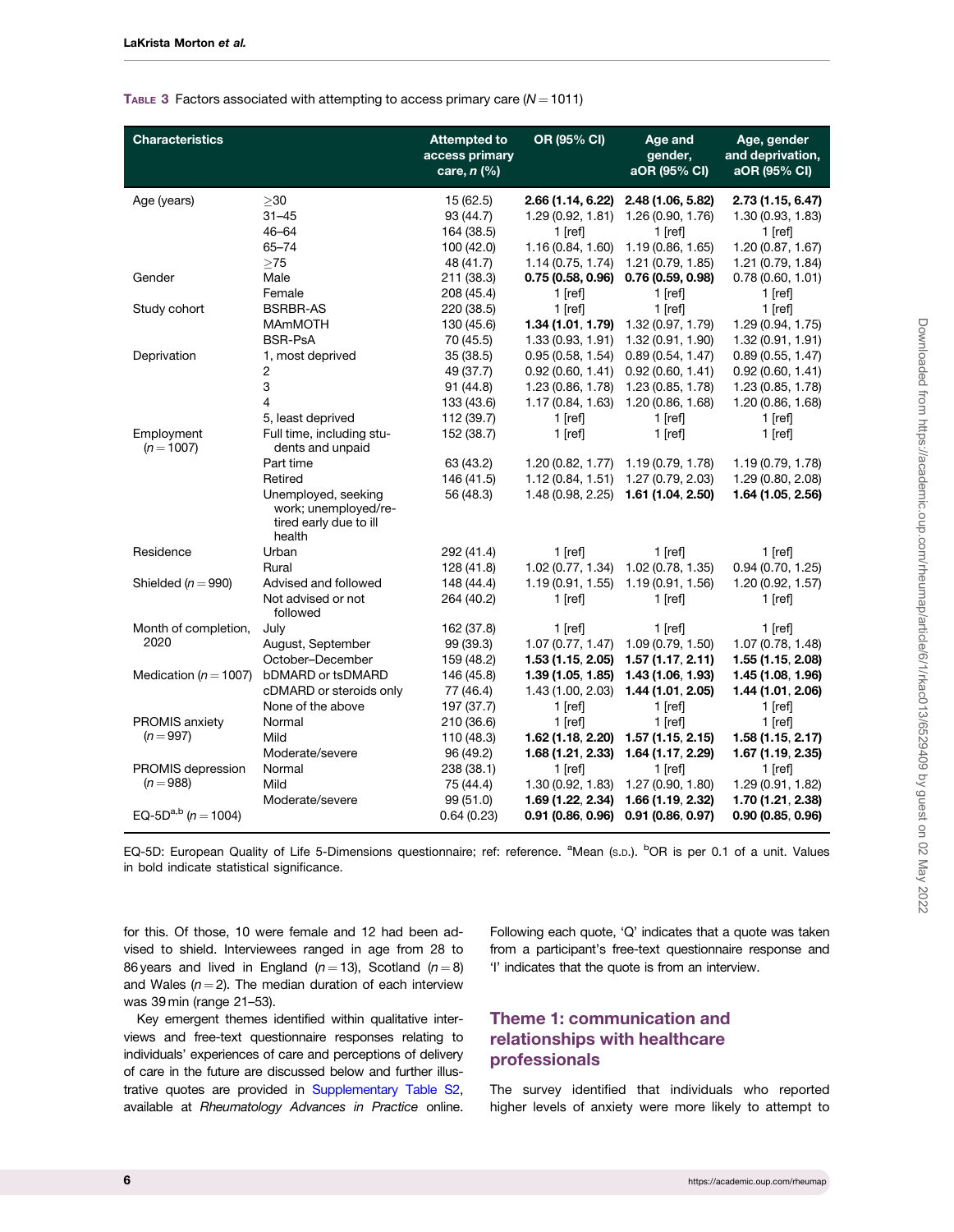<span id="page-5-0"></span>TABLE 3 Factors associated with attempting to access primary care  $(N = 1011)$ 

| <b>Characteristics</b>           |                                                                                                                                                          | <b>Attempted to</b><br>access primary<br>care, $n$ (%)         | OR (95% CI)                                                                                   | Age and<br>gender,<br>aOR (95% CI)                                                           | Age, gender<br>and deprivation,<br>aOR (95% CI)                                              |
|----------------------------------|----------------------------------------------------------------------------------------------------------------------------------------------------------|----------------------------------------------------------------|-----------------------------------------------------------------------------------------------|----------------------------------------------------------------------------------------------|----------------------------------------------------------------------------------------------|
| Age (years)                      | >30<br>$31 - 45$<br>46-64<br>65-74<br>$>75$                                                                                                              | 15(62.5)<br>93 (44.7)<br>164 (38.5)<br>100 (42.0)<br>48 (41.7) | 2.66 (1.14, 6.22)<br>1.29 (0.92, 1.81)<br>$1$ [ref]<br>1.16 (0.84, 1.60)<br>1.14 (0.75, 1.74) | 2.48 (1.06, 5.82)<br>1.26 (0.90, 1.76)<br>$1$ [ref]<br>1.19(0.86, 1.65)<br>1.21 (0.79, 1.85) | 2.73 (1.15, 6.47)<br>1.30 (0.93, 1.83)<br>$1$ [ref]<br>1.20(0.87, 1.67)<br>1.21 (0.79, 1.84) |
| Gender                           | Male<br>Female                                                                                                                                           | 211 (38.3)<br>208 (45.4)                                       | 0.75(0.58, 0.96)<br>$1$ [ref]                                                                 | 0.76(0.59, 0.98)<br>$1$ [ref]                                                                | 0.78(0.60, 1.01)<br>$1$ [ref]                                                                |
| Study cohort                     | <b>BSRBR-AS</b><br><b>MAmMOTH</b><br><b>BSR-PsA</b>                                                                                                      | 220 (38.5)<br>130 (45.6)<br>70 (45.5)                          | $1$ [ref]<br>1.34 (1.01, 1.79)<br>1.33 (0.93, 1.91)                                           | $1$ [ref]<br>1.32 (0.97, 1.79)<br>1.32 (0.91, 1.90)                                          | $1$ [ref]<br>1.29 (0.94, 1.75)<br>1.32 (0.91, 1.91)                                          |
| Deprivation                      | 1, most deprived<br>2<br>3<br>4<br>5, least deprived                                                                                                     | 35(38.5)<br>49 (37.7)<br>91 (44.8)<br>133 (43.6)<br>112 (39.7) | 0.95(0.58, 1.54)<br>0.92(0.60, 1.41)<br>1.23 (0.86, 1.78)<br>1.17 (0.84, 1.63)<br>$1$ [ref]   | 0.89(0.54, 1.47)<br>0.92(0.60, 1.41)<br>1.23 (0.85, 1.78)<br>1.20 (0.86, 1.68)<br>$1$ [ref]  | 0.89(0.55, 1.47)<br>0.92(0.60, 1.41)<br>1.23 (0.85, 1.78)<br>1.20 (0.86, 1.68)<br>$1$ [ref]  |
| Employment<br>$(n = 1007)$       | Full time, including stu-<br>dents and unpaid<br>Part time<br>Retired<br>Unemployed, seeking<br>work; unemployed/re-<br>tired early due to ill<br>health | 152 (38.7)<br>63 (43.2)<br>146 (41.5)<br>56 (48.3)             | $1$ [ref]<br>1.12(0.84, 1.51)<br>1.48 (0.98, 2.25)                                            | $1$ [ref]<br>$1.20(0.82, 1.77)$ 1.19 (0.79, 1.78)<br>1.27 (0.79, 2.03)<br>1.61 (1.04, 2.50)  | $1$ [ref]<br>1.19 (0.79, 1.78)<br>1.29 (0.80, 2.08)<br>1.64 (1.05, 2.56)                     |
| Residence                        | Urban<br>Rural                                                                                                                                           | 292 (41.4)<br>128 (41.8)                                       | 1 [ref]<br>1.02 (0.77, 1.34)                                                                  | $1$ [ref]<br>1.02 (0.78, 1.35)                                                               | $1$ [ref]<br>0.94(0.70, 1.25)                                                                |
| Shielded ( $n = 990$ )           | Advised and followed<br>Not advised or not<br>followed                                                                                                   | 148 (44.4)<br>264 (40.2)                                       | 1.19(0.91, 1.55)<br>1 [ref]                                                                   | 1.19 (0.91, 1.56)<br>1 [ref]                                                                 | 1.20 (0.92, 1.57)<br>1 [ref]                                                                 |
| Month of completion,<br>2020     | July<br>August, September<br>October-December                                                                                                            | 162 (37.8)<br>99 (39.3)<br>159 (48.2)                          | $1$ [ref]<br>1.07(0.77, 1.47)                                                                 | 1 [ref]<br>1.09 (0.79, 1.50)<br>1.53 (1.15, 2.05) 1.57 (1.17, 2.11)                          | $1$ [ref]<br>1.07 (0.78, 1.48)<br>1.55 (1.15, 2.08)                                          |
| Medication ( $n = 1007$ )        | bDMARD or tsDMARD<br>cDMARD or steroids only<br>None of the above                                                                                        | 146 (45.8)<br>77 (46.4)<br>197 (37.7)                          | 1.39 (1.05, 1.85)<br>1.43(1.00, 2.03)<br>$1$ [ref]                                            | 1.43 (1.06, 1.93)<br>1.44 (1.01, 2.05)<br>$1$ [ref]                                          | 1.45 (1.08, 1.96)<br>1.44 (1.01, 2.06)<br>$1$ [ref]                                          |
| PROMIS anxiety<br>$(n = 997)$    | Normal<br>Mild<br>Moderate/severe                                                                                                                        | 210 (36.6)<br>110 (48.3)<br>96 (49.2)                          | $1$ [ref]<br>1.68 (1.21, 2.33)                                                                | $1$ [ref]<br>$1.62(1.18, 2.20)$ $1.57(1.15, 2.15)$<br>1.64 (1.17, 2.29)                      | $1$ [ref]<br>1.58(1.15, 2.17)<br>1.67 (1.19, 2.35)                                           |
| PROMIS depression<br>$(n = 988)$ | Normal<br>Mild<br>Moderate/severe                                                                                                                        | 238 (38.1)<br>75 (44.4)<br>99 (51.0)                           | 1 [ref]<br>1.30 (0.92, 1.83)<br>1.69 (1.22, 2.34)                                             | 1 [ref]<br>1.27 (0.90, 1.80)<br>1.66 (1.19, 2.32)                                            | $1$ [ref]<br>1.29 (0.91, 1.82)<br>1.70 (1.21, 2.38)                                          |
| EQ-5D <sup>a,b</sup> (n = 1004)  |                                                                                                                                                          | 0.64(0.23)                                                     |                                                                                               | $0.91(0.86, 0.96)$ $0.91(0.86, 0.97)$                                                        | 0.90(0.85, 0.96)                                                                             |

EQ-5D: European Quality of Life 5-Dimensions questionnaire; ref: reference. <sup>a</sup>Mean (s.p.). <sup>b</sup>OR is per 0.1 of a unit. Values in bold indicate statistical significance.

for this. Of those, 10 were female and 12 had been advised to shield. Interviewees ranged in age from 28 to 86 years and lived in England ( $n = 13$ ), Scotland ( $n = 8$ ) and Wales ( $n = 2$ ). The median duration of each interview was 39 min (range 21–53).

Key emergent themes identified within qualitative interviews and free-text questionnaire responses relating to individuals' experiences of care and perceptions of delivery of care in the future are discussed below and further illustrative quotes are provided in [Supplementary Table S2](https://academic.oup.com/rheumap/article-lookup/doi/10.1093/rap/rkac013#supplementary-data), available at Rheumatology Advances in Practice online.

Following each quote, 'Q' indicates that a quote was taken from a participant's free-text questionnaire response and 'I' indicates that the quote is from an interview.

# Theme 1: communication and relationships with healthcare professionals

The survey identified that individuals who reported higher levels of anxiety were more likely to attempt to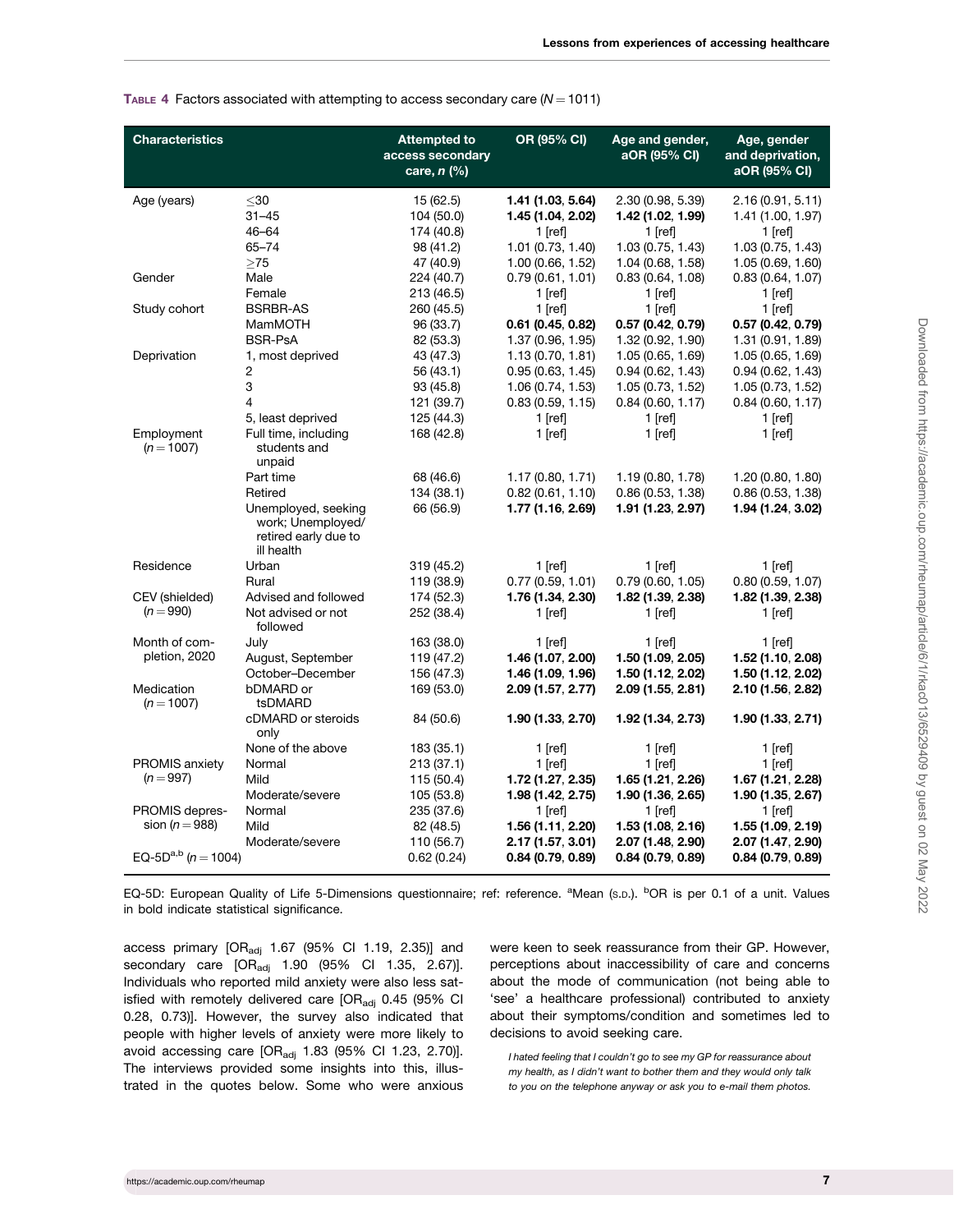<span id="page-6-0"></span>

|  |  |  | TABLE 4 Factors associated with attempting to access secondary care ( $N = 1011$ ) |
|--|--|--|------------------------------------------------------------------------------------|
|--|--|--|------------------------------------------------------------------------------------|

| <b>Characteristics</b>                       |                                                                                | <b>Attempted to</b><br>access secondary<br>care, $n$ (%)       | OR (95% CI)                                                                                  | Age and gender,<br>aOR (95% CI)                                                               | Age, gender<br>and deprivation,<br>aOR (95% CI)                                               |
|----------------------------------------------|--------------------------------------------------------------------------------|----------------------------------------------------------------|----------------------------------------------------------------------------------------------|-----------------------------------------------------------------------------------------------|-----------------------------------------------------------------------------------------------|
| Age (years)                                  | $30$<br>$31 - 45$<br>46-64<br>65-74<br>>75                                     | 15(62.5)<br>104 (50.0)<br>174 (40.8)<br>98 (41.2)<br>47 (40.9) | 1.41 (1.03, 5.64)<br>1.45 (1.04, 2.02)<br>1 $[ref]$<br>1.01 (0.73, 1.40)<br>1.00(0.66, 1.52) | 2.30 (0.98, 5.39)<br>1.42 (1.02, 1.99)<br>$1$ [ref]<br>1.03 (0.75, 1.43)<br>1.04 (0.68, 1.58) | 2.16 (0.91, 5.11)<br>1.41 (1.00, 1.97)<br>$1$ [ref]<br>1.03 (0.75, 1.43)<br>1.05 (0.69, 1.60) |
| Gender                                       | Male<br>Female                                                                 | 224 (40.7)<br>213 (46.5)                                       | 0.79(0.61, 1.01)<br>$1$ [ref]                                                                | 0.83(0.64, 1.08)<br>$1$ [ref]                                                                 | 0.83(0.64, 1.07)<br>$1$ [ref]                                                                 |
| Study cohort                                 | <b>BSRBR-AS</b><br><b>MamMOTH</b><br><b>BSR-PsA</b>                            | 260 (45.5)<br>96 (33.7)<br>82 (53.3)                           | $1$ [ref]<br>$0.61$ (0.45, 0.82)<br>1.37 (0.96, 1.95)                                        | $1$ [ref]<br>0.57 (0.42, 0.79)<br>1.32 (0.92, 1.90)                                           | $1$ [ref]<br>0.57 (0.42, 0.79)<br>1.31 (0.91, 1.89)                                           |
| Deprivation                                  | 1, most deprived<br>2<br>3<br>4<br>5, least deprived                           | 43 (47.3)<br>56 (43.1)<br>93(45.8)<br>121 (39.7)<br>125 (44.3) | 1.13(0.70, 1.81)<br>0.95(0.63, 1.45)<br>1.06 (0.74, 1.53)<br>0.83(0.59, 1.15)<br>$1$ [ref]   | 1.05 (0.65, 1.69)<br>0.94(0.62, 1.43)<br>1.05 (0.73, 1.52)<br>0.84(0.60, 1.17)<br>$1$ [ref]   | 1.05 (0.65, 1.69)<br>0.94(0.62, 1.43)<br>1.05 (0.73, 1.52)<br>0.84(0.60, 1.17)<br>$1$ [ref]   |
| Employment<br>$(n = 1007)$                   | Full time, including<br>students and<br>unpaid<br>Part time<br>Retired         | 168 (42.8)<br>68 (46.6)<br>134 (38.1)                          | 1 $[ref]$<br>1.17(0.80, 1.71)<br>0.82(0.61, 1.10)                                            | $1$ [ref]<br>1.19(0.80, 1.78)<br>0.86(0.53, 1.38)                                             | $1$ [ref]<br>1.20(0.80, 1.80)<br>0.86(0.53, 1.38)                                             |
|                                              | Unemployed, seeking<br>work; Unemployed/<br>retired early due to<br>ill health | 66 (56.9)                                                      | 1.77 (1.16, 2.69)                                                                            | 1.91 (1.23, 2.97)                                                                             | 1.94 (1.24, 3.02)                                                                             |
| Residence                                    | Urban<br>Rural                                                                 | 319 (45.2)<br>119 (38.9)                                       | 1 $[ref]$<br>0.77(0.59, 1.01)                                                                | $1$ [ref]<br>0.79(0.60, 1.05)                                                                 | $1$ [ref]<br>0.80(0.59, 1.07)                                                                 |
| CEV (shielded)<br>$(n = 990)$                | Advised and followed<br>Not advised or not<br>followed                         | 174 (52.3)<br>252 (38.4)                                       | 1.76 (1.34, 2.30)<br>$1$ [ref]                                                               | 1.82 (1.39, 2.38)<br>$1$ [ref]                                                                | 1.82 (1.39, 2.38)<br>$1$ [ref]                                                                |
| Month of com-<br>pletion, 2020<br>Medication | July<br>August, September<br>October-December<br>bDMARD or                     | 163 (38.0)<br>119 (47.2)<br>156 (47.3)<br>169 (53.0)           | 1 [ref]<br>1.46 (1.07, 2.00)<br>1.46 (1.09, 1.96)<br>2.09 (1.57, 2.77)                       | 1 [ref]<br>1.50 (1.09, 2.05)<br>1.50 (1.12, 2.02)<br>2.09 (1.55, 2.81)                        | 1 [ref]<br>1.52 (1.10, 2.08)<br>1.50 (1.12, 2.02)<br>2.10 (1.56, 2.82)                        |
| $(n = 1007)$                                 | tsDMARD<br>cDMARD or steroids<br>only                                          | 84 (50.6)                                                      | 1.90 (1.33, 2.70)                                                                            | 1.92 (1.34, 2.73)                                                                             | 1.90 (1.33, 2.71)                                                                             |
| <b>PROMIS anxiety</b><br>$(n = 997)$         | None of the above<br>Normal<br>Mild<br>Moderate/severe                         | 183 (35.1)<br>213 (37.1)<br>115 (50.4)<br>105 (53.8)           | 1 [ref]<br>$1$ [ref]<br>1.72 (1.27, 2.35)<br>1.98 (1.42, 2.75)                               | $1$ [ref]<br>$1$ [ref]<br>1.65 (1.21, 2.26)<br>1.90 (1.36, 2.65)                              | $1$ [ref]<br>$1$ [ref]<br>1.67 (1.21, 2.28)<br>1.90 (1.35, 2.67)                              |
| <b>PROMIS depres-</b><br>sion ( $n = 988$ )  | Normal<br>Mild<br>Moderate/severe                                              | 235 (37.6)<br>82 (48.5)<br>110 (56.7)                          | 1 [ref]<br>1.56 (1.11, 2.20)<br>2.17 (1.57, 3.01)                                            | $1$ [ref]<br>1.53 (1.08, 2.16)<br>2.07 (1.48, 2.90)                                           | $1$ [ref]<br>1.55 (1.09, 2.19)<br>2.07 (1.47, 2.90)                                           |
| EQ-5D <sup>a,b</sup> (n = 1004)              |                                                                                | 0.62(0.24)                                                     | 0.84(0.79, 0.89)                                                                             | 0.84(0.79, 0.89)                                                                              | 0.84(0.79, 0.89)                                                                              |

EQ-5D: European Quality of Life 5-Dimensions questionnaire; ref: reference. <sup>a</sup>Mean (s.p.). <sup>b</sup>OR is per 0.1 of a unit. Values in bold indicate statistical significance.

access primary  $[OR_{\text{adj}}$  1.67 (95% CI 1.19, 2.35)] and secondary care  $[OR_{\text{adj}}$  1.90 (95% CI 1.35, 2.67)]. Individuals who reported mild anxiety were also less satisfied with remotely delivered care  $[OR_{\text{adj}} 0.45 (95\% \text{ Cl})]$ 0.28, 0.73)]. However, the survey also indicated that people with higher levels of anxiety were more likely to avoid accessing care  $[OR_{\text{adj}} 1.83 (95\% \text{ Cl } 1.23, 2.70)].$ The interviews provided some insights into this, illustrated in the quotes below. Some who were anxious were keen to seek reassurance from their GP. However, perceptions about inaccessibility of care and concerns about the mode of communication (not being able to 'see' a healthcare professional) contributed to anxiety about their symptoms/condition and sometimes led to decisions to avoid seeking care.

I hated feeling that I couldn't go to see my GP for reassurance about my health, as I didn't want to bother them and they would only talk to you on the telephone anyway or ask you to e-mail them photos.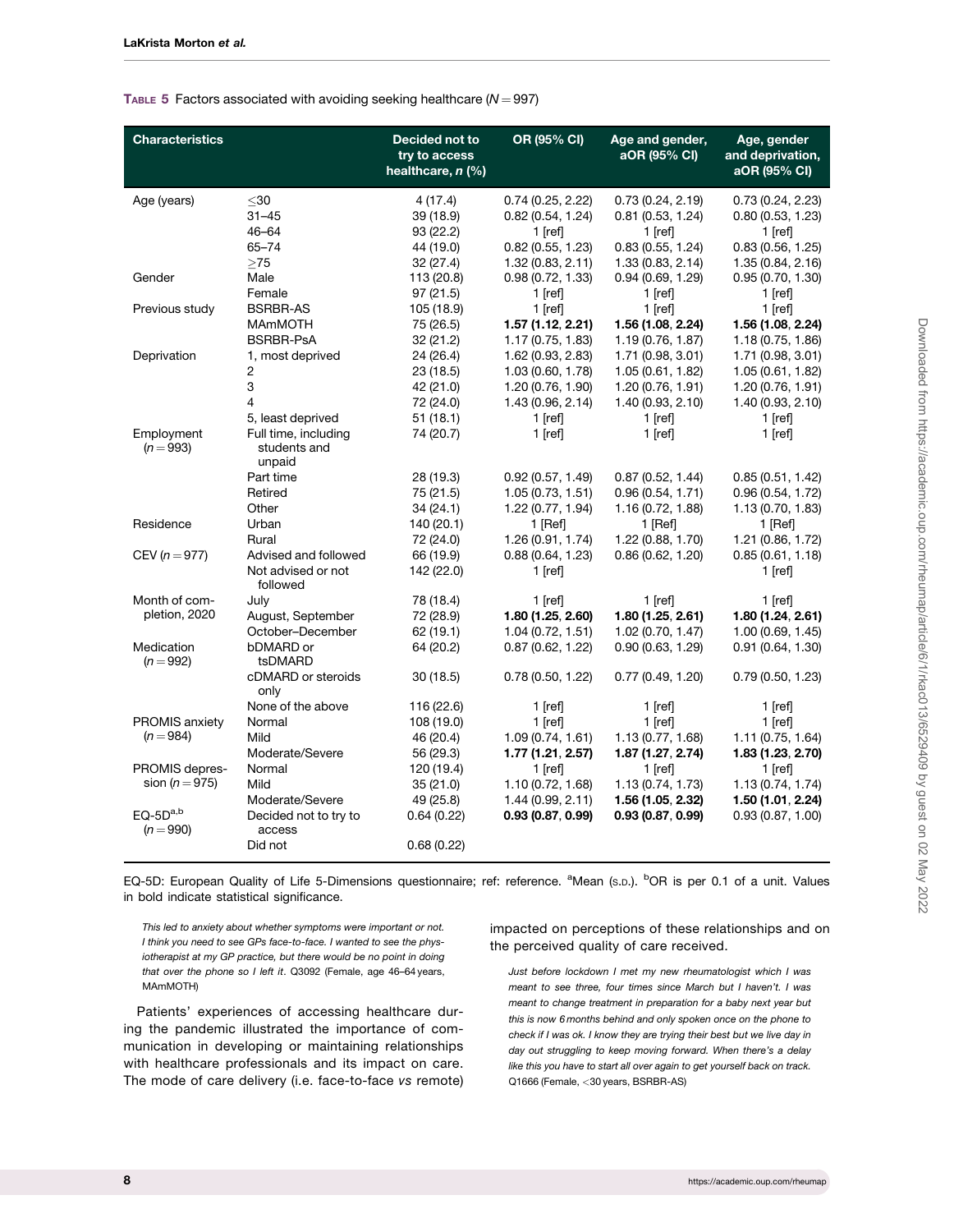### <span id="page-7-0"></span>TABLE 5 Factors associated with avoiding seeking healthcare  $(N = 997)$

| <b>Characteristics</b>               |                                                                   | Decided not to<br>try to access<br>healthcare, n (%)        | OR (95% CI)                                                                                 | Age and gender,<br>aOR (95% CI)                                                             | Age, gender<br>and deprivation,<br>aOR (95% CI)                                              |
|--------------------------------------|-------------------------------------------------------------------|-------------------------------------------------------------|---------------------------------------------------------------------------------------------|---------------------------------------------------------------------------------------------|----------------------------------------------------------------------------------------------|
| Age (years)                          | $30$<br>$31 - 45$<br>$46 - 64$<br>$65 - 74$<br>$>75$              | 4 (17.4)<br>39 (18.9)<br>93 (22.2)<br>44 (19.0)<br>32(27.4) | 0.74(0.25, 2.22)<br>0.82(0.54, 1.24)<br>$1$ [ref]<br>0.82(0.55, 1.23)<br>1.32(0.83, 2.11)   | 0.73(0.24, 2.19)<br>0.81(0.53, 1.24)<br>1 Irefl<br>0.83(0.55, 1.24)<br>1.33 (0.83, 2.14)    | 0.73(0.24, 2.23)<br>0.80(0.53, 1.23)<br>$1$ [ref]<br>0.83(0.56, 1.25)<br>1.35 (0.84, 2.16)   |
| Gender                               | Male<br>Female                                                    | 113 (20.8)<br>97(21.5)                                      | 0.98(0.72, 1.33)<br>$1$ [ref]                                                               | 0.94(0.69, 1.29)<br>$1$ [ref]                                                               | 0.95(0.70, 1.30)<br>1 $[ref]$                                                                |
| Previous study                       | <b>BSRBR-AS</b><br><b>MAmMOTH</b><br><b>BSRBR-PsA</b>             | 105 (18.9)<br>75 (26.5)<br>32 (21.2)                        | $1$ [ref]<br>1.57 (1.12, 2.21)<br>1.17(0.75, 1.83)                                          | $1$ [ref]<br>1.56 (1.08, 2.24)<br>1.19 (0.76, 1.87)                                         | $1$ [ref]<br>1.56 (1.08, 2.24)<br>1.18 (0.75, 1.86)                                          |
| Deprivation                          | 1, most deprived<br>2<br>3<br>$\overline{4}$<br>5, least deprived | 24 (26.4)<br>23(18.5)<br>42 (21.0)<br>72 (24.0)<br>51(18.1) | 1.62 (0.93, 2.83)<br>1.03 (0.60, 1.78)<br>1.20 (0.76, 1.90)<br>1.43 (0.96, 2.14)<br>1 Irefl | 1.71 (0.98, 3.01)<br>1.05 (0.61, 1.82)<br>1.20 (0.76, 1.91)<br>1.40 (0.93, 2.10)<br>1 Irefl | 1.71(0.98, 3.01)<br>1.05 (0.61, 1.82)<br>1.20 (0.76, 1.91)<br>1.40 (0.93, 2.10)<br>$1$ [ref] |
| Employment<br>$(n = 993)$            | Full time, including<br>students and<br>unpaid<br>Part time       | 74 (20.7)<br>28 (19.3)                                      | $1$ [ref]<br>0.92(0.57, 1.49)                                                               | $1$ [ref]<br>0.87(0.52, 1.44)                                                               | 1 $[ref]$<br>0.85(0.51, 1.42)                                                                |
|                                      | Retired<br>Other                                                  | 75 (21.5)<br>34 (24.1)                                      | 1.05(0.73, 1.51)<br>1.22 (0.77, 1.94)                                                       | 0.96(0.54, 1.71)<br>1.16 (0.72, 1.88)                                                       | 0.96(0.54, 1.72)<br>1.13 (0.70, 1.83)                                                        |
| Residence                            | Urban<br>Rural                                                    | 140 (20.1)<br>72 (24.0)                                     | $1$ [Ref]<br>1.26 (0.91, 1.74)                                                              | $1$ [Ref]<br>1.22 (0.88, 1.70)                                                              | $1$ [Ref]<br>1.21 (0.86, 1.72)                                                               |
| CEV ( $n = 977$ )                    | Advised and followed<br>Not advised or not<br>followed            | 66 (19.9)<br>142 (22.0)                                     | 0.88(0.64, 1.23)<br>$1$ [ref]                                                               | 0.86(0.62, 1.20)                                                                            | 0.85(0.61, 1.18)<br>$1$ [ref]                                                                |
| Month of com-<br>pletion, 2020       | July<br>August, September<br>October-December                     | 78 (18.4)<br>72 (28.9)<br>62 (19.1)                         | 1 [ref]<br>1.80 (1.25, 2.60)<br>1.04(0.72, 1.51)                                            | $1$ [ref]<br>1.80 (1.25, 2.61)<br>1.02 (0.70, 1.47)                                         | $1$ [ref]<br>1.80(1.24, 2.61)<br>1.00(0.69, 1.45)                                            |
| Medication<br>$(n = 992)$            | bDMARD or<br>tsDMARD<br>cDMARD or steroids                        | 64 (20.2)<br>30(18.5)                                       | 0.87(0.62, 1.22)<br>0.78(0.50, 1.22)                                                        | 0.90(0.63, 1.29)<br>0.77(0.49, 1.20)                                                        | 0.91(0.64, 1.30)<br>0.79(0.50, 1.23)                                                         |
|                                      | only<br>None of the above                                         | 116 (22.6)                                                  | $1$ [ref]                                                                                   | 1 $[ref]$                                                                                   | 1 $[ref]$                                                                                    |
| PROMIS anxiety<br>$(n = 984)$        | Normal<br>Mild<br>Moderate/Severe                                 | 108 (19.0)<br>46 (20.4)<br>56 (29.3)                        | $1$ [ref]<br>1.09(0.74, 1.61)<br>1.77 (1.21, 2.57)                                          | $1$ [ref]<br>1.13 (0.77, 1.68)<br>1.87 (1.27, 2.74)                                         | $1$ [ref]<br>1.11 (0.75, 1.64)<br>1.83 (1.23, 2.70)                                          |
| PROMIS depres-<br>sion ( $n = 975$ ) | Normal<br>Mild<br>Moderate/Severe                                 | 120 (19.4)<br>35(21.0)<br>49 (25.8)                         | $1$ [ref]<br>1.10 (0.72, 1.68)<br>1.44(0.99, 2.11)                                          | $1$ [ref]<br>1.13 (0.74, 1.73)<br>1.56 (1.05, 2.32)                                         | $1$ [ref]<br>1.13 (0.74, 1.74)<br>1.50(1.01, 2.24)                                           |
| $EO-5Da,b$<br>$(n = 990)$            | Decided not to try to<br>access<br>Did not                        | 0.64(0.22)<br>0.68(0.22)                                    | 0.93(0.87, 0.99)                                                                            | 0.93(0.87, 0.99)                                                                            | 0.93(0.87, 1.00)                                                                             |

EQ-5D: European Quality of Life 5-Dimensions questionnaire; ref: reference. <sup>a</sup>Mean (s.p.). <sup>b</sup>OR is per 0.1 of a unit. Values in bold indicate statistical significance.

This led to anxiety about whether symptoms were important or not. I think you need to see GPs face-to-face. I wanted to see the physiotherapist at my GP practice, but there would be no point in doing that over the phone so I left it. Q3092 (Female, age 46–64 years, MAmMOTH)

Patients' experiences of accessing healthcare during the pandemic illustrated the importance of communication in developing or maintaining relationships with healthcare professionals and its impact on care. The mode of care delivery (i.e. face-to-face vs remote) impacted on perceptions of these relationships and on the perceived quality of care received.

Just before lockdown I met my new rheumatologist which I was meant to see three, four times since March but I haven't. I was meant to change treatment in preparation for a baby next year but this is now 6 months behind and only spoken once on the phone to check if I was ok. I know they are trying their best but we live day in day out struggling to keep moving forward. When there's a delay like this you have to start all over again to get yourself back on track. Q1666 (Female, <30 years, BSRBR-AS)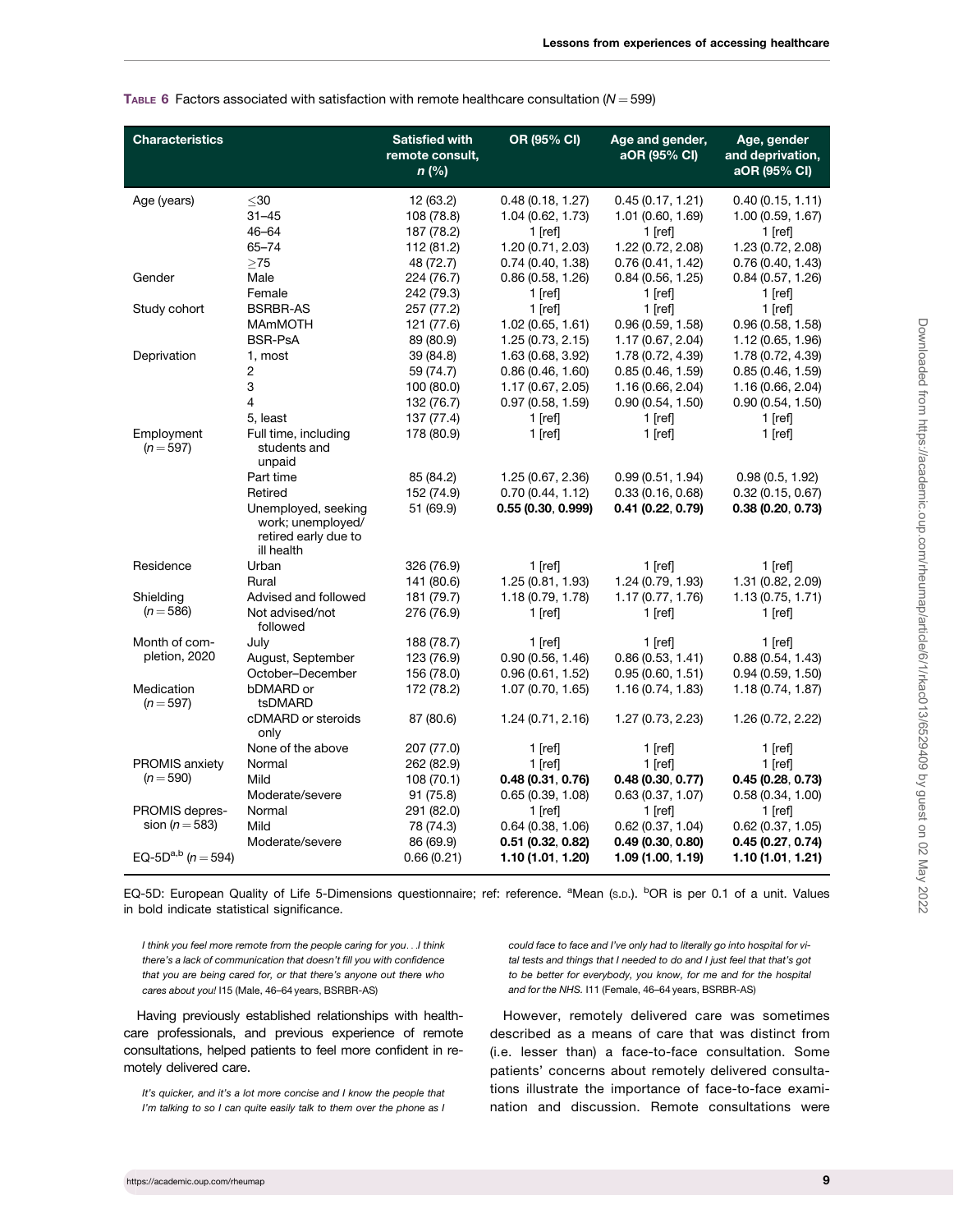| <b>Characteristics</b>                                                     |                                                                                           | <b>Satisfied with</b><br>remote consult,<br>$n$ (%)              | OR (95% CI)                                                                                 | Age and gender,<br>aOR (95% CI)                                                            | Age, gender<br>and deprivation,<br>aOR (95% CI)                                             |
|----------------------------------------------------------------------------|-------------------------------------------------------------------------------------------|------------------------------------------------------------------|---------------------------------------------------------------------------------------------|--------------------------------------------------------------------------------------------|---------------------------------------------------------------------------------------------|
| Age (years)                                                                | $30$<br>$31 - 45$<br>46-64<br>$65 - 74$<br>>75                                            | 12 (63.2)<br>108 (78.8)<br>187 (78.2)<br>112 (81.2)<br>48 (72.7) | 0.48(0.18, 1.27)<br>1.04 (0.62, 1.73)<br>1 [ref]<br>1.20 (0.71, 2.03)<br>0.74(0.40, 1.38)   | 0.45(0.17, 1.21)<br>1.01(0.60, 1.69)<br>$1$ [ref]<br>1.22 (0.72, 2.08)<br>0.76(0.41, 1.42) | 0.40(0.15, 1.11)<br>1.00 (0.59, 1.67)<br>$1$ [ref]<br>1.23 (0.72, 2.08)<br>0.76(0.40, 1.43) |
| Gender                                                                     | Male<br>Female                                                                            | 224 (76.7)<br>242 (79.3)                                         | 0.86(0.58, 1.26)<br>$1$ [ref]                                                               | 0.84(0.56, 1.25)<br>$1$ [ref]                                                              | 0.84(0.57, 1.26)<br>$1$ [ref]                                                               |
| Study cohort                                                               | <b>BSRBR-AS</b><br><b>MAmMOTH</b><br><b>BSR-PsA</b>                                       | 257 (77.2)<br>121 (77.6)<br>89 (80.9)                            | $1$ [ref]<br>1.02(0.65, 1.61)<br>1.25(0.73, 2.15)                                           | $1$ [ref]<br>0.96(0.59, 1.58)<br>1.17 (0.67, 2.04)                                         | $1$ [ref]<br>0.96(0.58, 1.58)<br>1.12 (0.65, 1.96)                                          |
| Deprivation                                                                | 1, most<br>2<br>3<br>4<br>5, least                                                        | 39 (84.8)<br>59 (74.7)<br>100 (80.0)<br>132 (76.7)<br>137 (77.4) | 1.63 (0.68, 3.92)<br>0.86(0.46, 1.60)<br>1.17 (0.67, 2.05)<br>0.97(0.58, 1.59)<br>$1$ [ref] | 1.78 (0.72, 4.39)<br>0.85(0.46, 1.59)<br>1.16 (0.66, 2.04)<br>0.90(0.54, 1.50)<br>1 [ref]  | 1.78 (0.72, 4.39)<br>0.85(0.46, 1.59)<br>1.16 (0.66, 2.04)<br>0.90(0.54, 1.50)<br>$1$ [ref] |
| Employment<br>$(n = 597)$                                                  | Full time, including<br>students and<br>unpaid<br>Part time                               | 178 (80.9)<br>85 (84.2)                                          | 1 $[ref]$<br>1.25 (0.67, 2.36)                                                              | $1$ [ref]<br>0.99(0.51, 1.94)                                                              | $1$ [ref]<br>0.98(0.5, 1.92)                                                                |
|                                                                            | Retired<br>Unemployed, seeking<br>work; unemployed/<br>retired early due to<br>ill health | 152 (74.9)<br>51 (69.9)                                          | 0.70(0.44, 1.12)<br>0.55 (0.30, 0.999)                                                      | 0.33(0.16, 0.68)<br>0.41 (0.22, 0.79)                                                      | 0.32(0.15, 0.67)<br>0.38(0.20, 0.73)                                                        |
| Residence                                                                  | Urban<br>Rural                                                                            | 326 (76.9)<br>141 (80.6)                                         | 1 [ref]<br>1.25(0.81, 1.93)                                                                 | $1$ [ref]<br>1.24 (0.79, 1.93)                                                             | $1$ [ref]<br>1.31 (0.82, 2.09)                                                              |
| Shielding<br>$(n = 586)$                                                   | Advised and followed<br>Not advised/not<br>followed                                       | 181 (79.7)<br>276 (76.9)                                         | 1.18 (0.79, 1.78)<br>1 $[ref]$                                                              | 1.17 (0.77, 1.76)<br>1 [ref]                                                               | 1.13(0.75, 1.71)<br>$1$ [ref]                                                               |
| Month of com-<br>pletion, 2020<br>Medication                               | July<br>August, September<br>October-December<br>bDMARD or                                | 188 (78.7)<br>123 (76.9)<br>156 (78.0)<br>172 (78.2)             | 1 [ref]<br>0.90(0.56, 1.46)<br>0.96(0.61, 1.52)<br>1.07(0.70, 1.65)                         | $1$ [ref]<br>0.86(0.53, 1.41)<br>0.95(0.60, 1.51)<br>1.16 (0.74, 1.83)                     | 1 $[ref]$<br>0.88(0.54, 1.43)<br>0.94(0.59, 1.50)<br>1.18(0.74, 1.87)                       |
| $(n = 597)$                                                                | tsDMARD<br>cDMARD or steroids<br>only                                                     | 87 (80.6)                                                        | 1.24 (0.71, 2.16)                                                                           | 1.27 (0.73, 2.23)                                                                          | 1.26 (0.72, 2.22)                                                                           |
| <b>PROMIS anxiety</b><br>$(n = 590)$                                       | None of the above<br>Normal<br>Mild<br>Moderate/severe                                    | 207 (77.0)<br>262 (82.9)<br>108(70.1)<br>91 (75.8)               | 1 $[ref]$<br>1 [ref]<br>0.48(0.31, 0.76)<br>0.65(0.39, 1.08)                                | $1$ [ref]<br>$1$ [ref]<br>0.48(0.30, 0.77)<br>0.63(0.37, 1.07)                             | $1$ [ref]<br>$1$ [ref]<br>0.45(0.28, 0.73)<br>0.58(0.34, 1.00)                              |
| PROMIS depres-<br>sion ( $n = 583$ )<br>EQ-5D <sup>a,b</sup> ( $n = 594$ ) | Normal<br>Mild<br>Moderate/severe                                                         | 291 (82.0)<br>78 (74.3)<br>86 (69.9)<br>0.66(0.21)               | $1$ [ref]<br>0.64(0.38, 1.06)<br>$0.51$ (0.32, 0.82)<br>1.10(1.01, 1.20)                    | $1$ [ref]<br>0.62(0.37, 1.04)<br>0.49(0.30, 0.80)<br>1.09 (1.00, 1.19)                     | $1$ [ref]<br>$0.62$ (0.37, 1.05)<br>0.45(0.27, 0.74)<br>1.10 (1.01, 1.21)                   |

<span id="page-8-0"></span>TABLE 6 Factors associated with satisfaction with remote healthcare consultation  $(N = 599)$ 

EQ-5D: European Quality of Life 5-Dimensions questionnaire; ref: reference. <sup>a</sup>Mean (s.p.). <sup>b</sup>OR is per 0.1 of a unit. Values in bold indicate statistical significance.

I think you feel more remote from the people caring for you...I think there's a lack of communication that doesn't fill you with confidence that you are being cared for, or that there's anyone out there who cares about you! I15 (Male, 46–64 years, BSRBR-AS)

Having previously established relationships with healthcare professionals, and previous experience of remote consultations, helped patients to feel more confident in remotely delivered care.

It's quicker, and it's a lot more concise and I know the people that I'm talking to so I can quite easily talk to them over the phone as I could face to face and I've only had to literally go into hospital for vital tests and things that I needed to do and I just feel that that's got to be better for everybody, you know, for me and for the hospital and for the NHS. I11 (Female, 46–64 years, BSRBR-AS)

However, remotely delivered care was sometimes described as a means of care that was distinct from (i.e. lesser than) a face-to-face consultation. Some patients' concerns about remotely delivered consultations illustrate the importance of face-to-face examination and discussion. Remote consultations were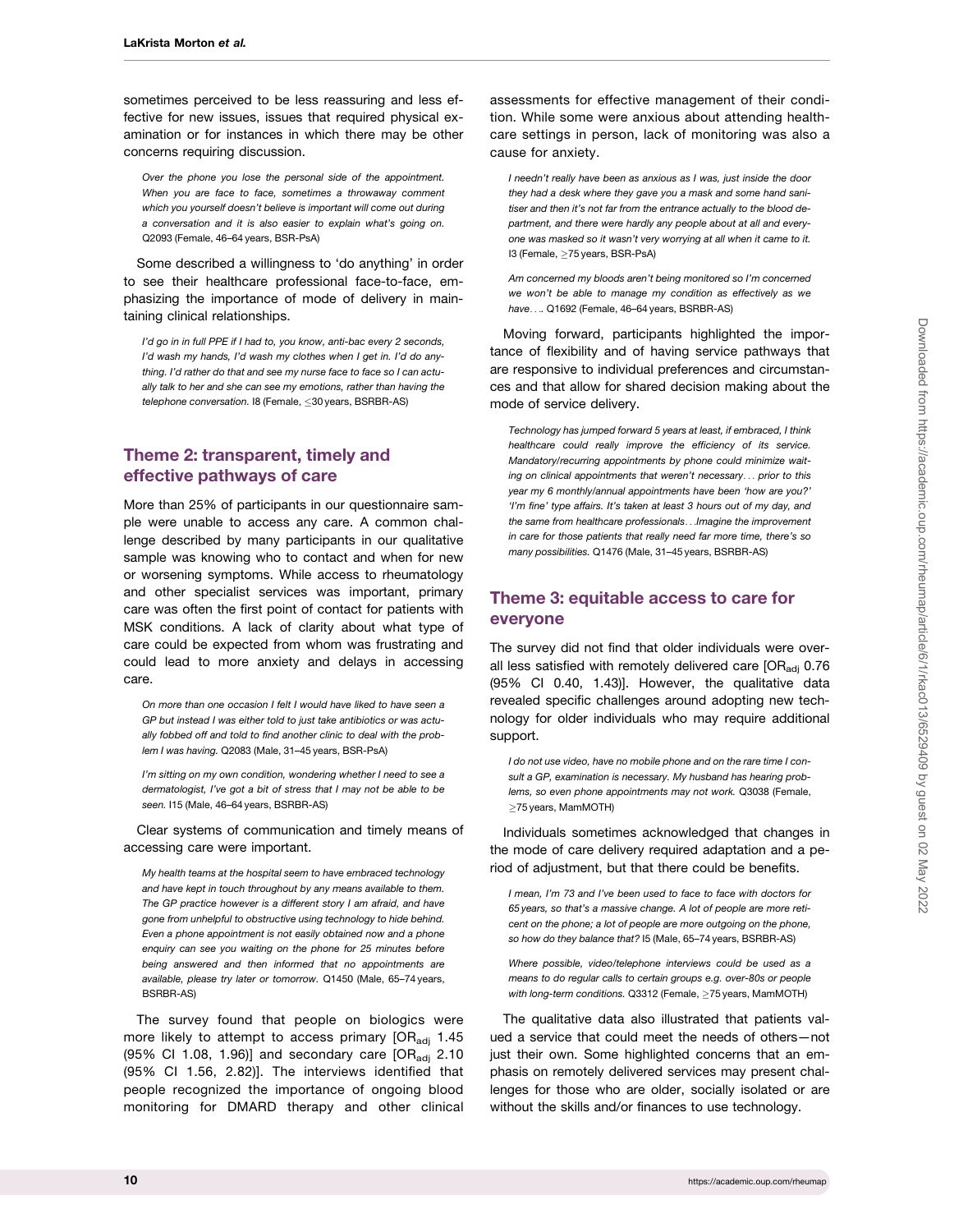sometimes perceived to be less reassuring and less effective for new issues, issues that required physical examination or for instances in which there may be other concerns requiring discussion.

Over the phone you lose the personal side of the appointment. When you are face to face, sometimes a throwaway comment which you yourself doesn't believe is important will come out during a conversation and it is also easier to explain what's going on. Q2093 (Female, 46–64 years, BSR-PsA)

Some described a willingness to 'do anything' in order to see their healthcare professional face-to-face, emphasizing the importance of mode of delivery in maintaining clinical relationships.

I'd go in in full PPE if I had to, you know, anti-bac every 2 seconds, I'd wash my hands, I'd wash my clothes when I get in. I'd do anything. I'd rather do that and see my nurse face to face so I can actually talk to her and she can see my emotions, rather than having the telephone conversation. I8 (Female, < 30 years, BSRBR-AS)

# Theme 2: transparent, timely and effective pathways of care

More than 25% of participants in our questionnaire sample were unable to access any care. A common challenge described by many participants in our qualitative sample was knowing who to contact and when for new or worsening symptoms. While access to rheumatology and other specialist services was important, primary care was often the first point of contact for patients with MSK conditions. A lack of clarity about what type of care could be expected from whom was frustrating and could lead to more anxiety and delays in accessing care.

On more than one occasion I felt I would have liked to have seen a GP but instead I was either told to just take antibiotics or was actually fobbed off and told to find another clinic to deal with the problem I was having. Q2083 (Male, 31–45 years, BSR-PsA)

I'm sitting on my own condition, wondering whether I need to see a dermatologist, I've got a bit of stress that I may not be able to be seen. I15 (Male, 46–64 years, BSRBR-AS)

Clear systems of communication and timely means of accessing care were important.

My health teams at the hospital seem to have embraced technology and have kept in touch throughout by any means available to them. The GP practice however is a different story I am afraid, and have gone from unhelpful to obstructive using technology to hide behind. Even a phone appointment is not easily obtained now and a phone enquiry can see you waiting on the phone for 25 minutes before being answered and then informed that no appointments are available, please try later or tomorrow. Q1450 (Male, 65–74 years, BSRBR-AS)

The survey found that people on biologics were more likely to attempt to access primary  $[OR_{\text{adi}} 1.45]$ (95% CI 1.08, 1.96)] and secondary care  $[OR_{\text{adj}} 2.10$ (95% CI 1.56, 2.82)]. The interviews identified that people recognized the importance of ongoing blood monitoring for DMARD therapy and other clinical

assessments for effective management of their condition. While some were anxious about attending healthcare settings in person, lack of monitoring was also a cause for anxiety.

I needn't really have been as anxious as I was, just inside the door they had a desk where they gave you a mask and some hand sanitiser and then it's not far from the entrance actually to the blood department, and there were hardly any people about at all and everyone was masked so it wasn't very worrying at all when it came to it. I3 (Female, ≥75 years, BSR-PsA)

Am concerned my bloods aren't being monitored so I'm concerned we won't be able to manage my condition as effectively as we have.... Q1692 (Female, 46–64 years, BSRBR-AS)

Moving forward, participants highlighted the importance of flexibility and of having service pathways that are responsive to individual preferences and circumstances and that allow for shared decision making about the mode of service delivery.

Technology has jumped forward 5 years at least, if embraced, I think healthcare could really improve the efficiency of its service. Mandatory/recurring appointments by phone could minimize waiting on clinical appointments that weren't necessary... prior to this year my 6 monthly/annual appointments have been 'how are you?' 'I'm fine' type affairs. It's taken at least 3 hours out of my day, and the same from healthcare professionals...Imagine the improvement in care for those patients that really need far more time, there's so many possibilities. Q1476 (Male, 31–45 years, BSRBR-AS)

# Theme 3: equitable access to care for everyone

The survey did not find that older individuals were overall less satisfied with remotely delivered care [ORadj 0.76 (95% CI 0.40, 1.43)]. However, the qualitative data revealed specific challenges around adopting new technology for older individuals who may require additional support.

I do not use video, have no mobile phone and on the rare time I consult a GP, examination is necessary. My husband has hearing problems, so even phone appointments may not work. Q3038 (Female,  $\geq$ 75 years, MamMOTH)

Individuals sometimes acknowledged that changes in the mode of care delivery required adaptation and a period of adjustment, but that there could be benefits.

I mean, I'm 73 and I've been used to face to face with doctors for 65 years, so that's a massive change. A lot of people are more reticent on the phone; a lot of people are more outgoing on the phone, so how do they balance that? I5 (Male, 65–74 years, BSRBR-AS)

Where possible, video/telephone interviews could be used as a means to do regular calls to certain groups e.g. over-80s or people with long-term conditions. Q3312 (Female,  $\geq$ 75 years, MamMOTH)

The qualitative data also illustrated that patients valued a service that could meet the needs of others—not just their own. Some highlighted concerns that an emphasis on remotely delivered services may present challenges for those who are older, socially isolated or are without the skills and/or finances to use technology.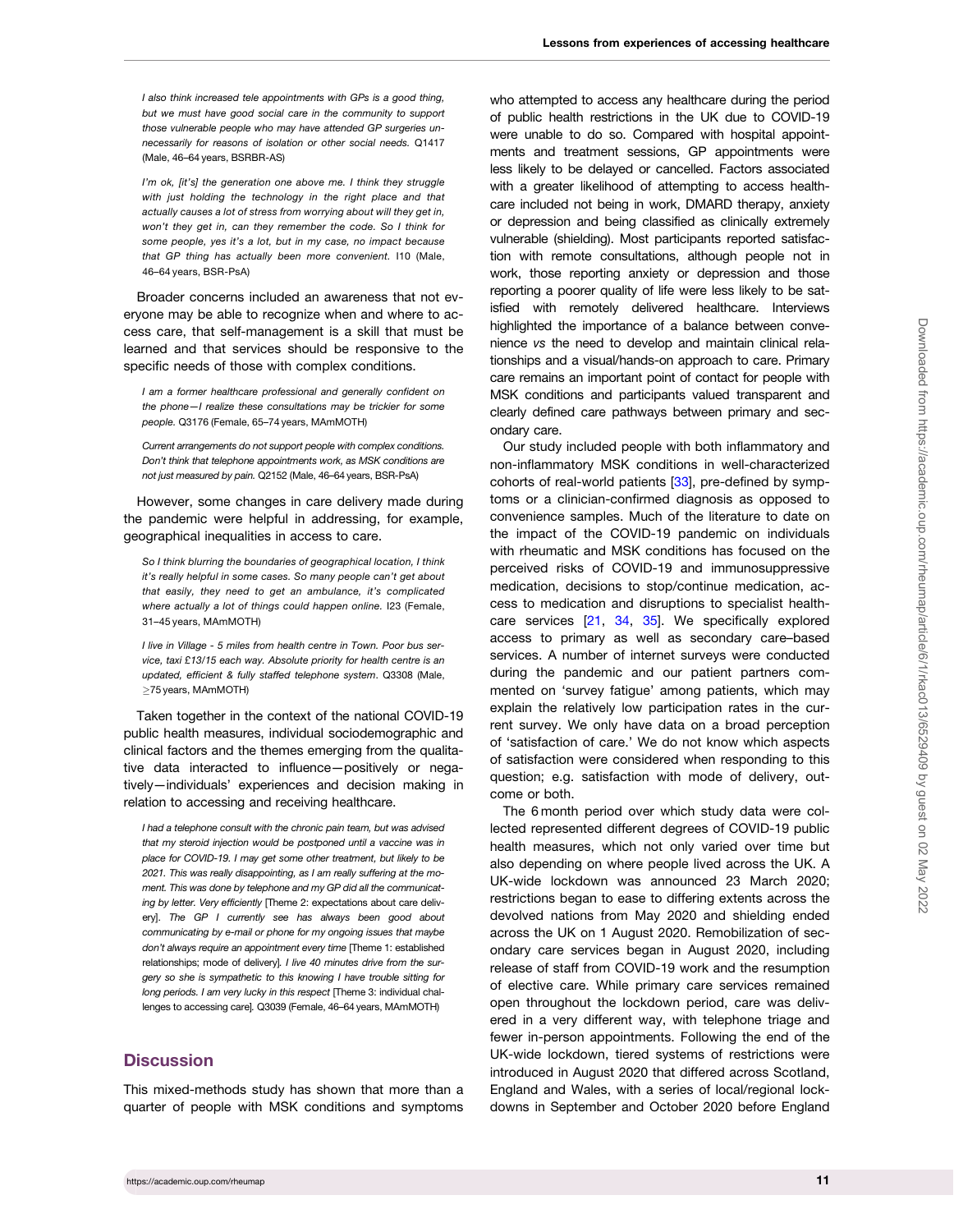<span id="page-10-0"></span>I also think increased tele appointments with GPs is a good thing, but we must have good social care in the community to support those vulnerable people who may have attended GP surgeries unnecessarily for reasons of isolation or other social needs. Q1417 (Male, 46–64 years, BSRBR-AS)

I'm ok, [it's] the generation one above me. I think they struggle with just holding the technology in the right place and that actually causes a lot of stress from worrying about will they get in, won't they get in, can they remember the code. So I think for some people, yes it's a lot, but in my case, no impact because that GP thing has actually been more convenient. I10 (Male, 46–64 years, BSR-PsA)

Broader concerns included an awareness that not everyone may be able to recognize when and where to access care, that self-management is a skill that must be learned and that services should be responsive to the specific needs of those with complex conditions.

I am a former healthcare professional and generally confident on the phone—I realize these consultations may be trickier for some people. Q3176 (Female, 65–74 years, MAmMOTH)

Current arrangements do not support people with complex conditions. Don't think that telephone appointments work, as MSK conditions are not just measured by pain. Q2152 (Male, 46–64 years, BSR-PsA)

However, some changes in care delivery made during the pandemic were helpful in addressing, for example, geographical inequalities in access to care.

So I think blurring the boundaries of geographical location, I think it's really helpful in some cases. So many people can't get about that easily, they need to get an ambulance, it's complicated where actually a lot of things could happen online. I23 (Female, 31–45 years, MAmMOTH)

I live in Village - 5 miles from health centre in Town. Poor bus service, taxi £13/15 each way. Absolute priority for health centre is an updated, efficient & fully staffed telephone system. Q3308 (Male,  $\geq$ 75 years, MAmMOTH)

Taken together in the context of the national COVID-19 public health measures, individual sociodemographic and clinical factors and the themes emerging from the qualitative data interacted to influence—positively or negatively—individuals' experiences and decision making in relation to accessing and receiving healthcare.

I had a telephone consult with the chronic pain team, but was advised that my steroid injection would be postponed until a vaccine was in place for COVID-19. I may get some other treatment, but likely to be 2021. This was really disappointing, as I am really suffering at the moment. This was done by telephone and my GP did all the communicating by letter. Very efficiently [Theme 2: expectations about care delivery]. The GP I currently see has always been good about communicating by e-mail or phone for my ongoing issues that maybe don't always require an appointment every time [Theme 1: established relationships; mode of delivery]. I live 40 minutes drive from the surgery so she is sympathetic to this knowing I have trouble sitting for long periods. I am very lucky in this respect [Theme 3: individual challenges to accessing care]. Q3039 (Female, 46–64 years, MAmMOTH)

## **Discussion**

This mixed-methods study has shown that more than a quarter of people with MSK conditions and symptoms who attempted to access any healthcare during the period of public health restrictions in the UK due to COVID-19 were unable to do so. Compared with hospital appointments and treatment sessions, GP appointments were less likely to be delayed or cancelled. Factors associated with a greater likelihood of attempting to access healthcare included not being in work, DMARD therapy, anxiety or depression and being classified as clinically extremely vulnerable (shielding). Most participants reported satisfaction with remote consultations, although people not in work, those reporting anxiety or depression and those reporting a poorer quality of life were less likely to be satisfied with remotely delivered healthcare. Interviews highlighted the importance of a balance between convenience vs the need to develop and maintain clinical relationships and a visual/hands-on approach to care. Primary care remains an important point of contact for people with MSK conditions and participants valued transparent and clearly defined care pathways between primary and secondary care.

Our study included people with both inflammatory and non-inflammatory MSK conditions in well-characterized cohorts of real-world patients [[33](#page-13-0)], pre-defined by symptoms or a clinician-confirmed diagnosis as opposed to convenience samples. Much of the literature to date on the impact of the COVID-19 pandemic on individuals with rheumatic and MSK conditions has focused on the perceived risks of COVID-19 and immunosuppressive medication, decisions to stop/continue medication, access to medication and disruptions to specialist healthcare services [\[21](#page-13-0), [34](#page-13-0), [35](#page-13-0)]. We specifically explored access to primary as well as secondary care–based services. A number of internet surveys were conducted during the pandemic and our patient partners commented on 'survey fatigue' among patients, which may explain the relatively low participation rates in the current survey. We only have data on a broad perception of 'satisfaction of care.' We do not know which aspects of satisfaction were considered when responding to this question; e.g. satisfaction with mode of delivery, outcome or both.

The 6 month period over which study data were collected represented different degrees of COVID-19 public health measures, which not only varied over time but also depending on where people lived across the UK. A UK-wide lockdown was announced 23 March 2020; restrictions began to ease to differing extents across the devolved nations from May 2020 and shielding ended across the UK on 1 August 2020. Remobilization of secondary care services began in August 2020, including release of staff from COVID-19 work and the resumption of elective care. While primary care services remained open throughout the lockdown period, care was delivered in a very different way, with telephone triage and fewer in-person appointments. Following the end of the UK-wide lockdown, tiered systems of restrictions were introduced in August 2020 that differed across Scotland, England and Wales, with a series of local/regional lockdowns in September and October 2020 before England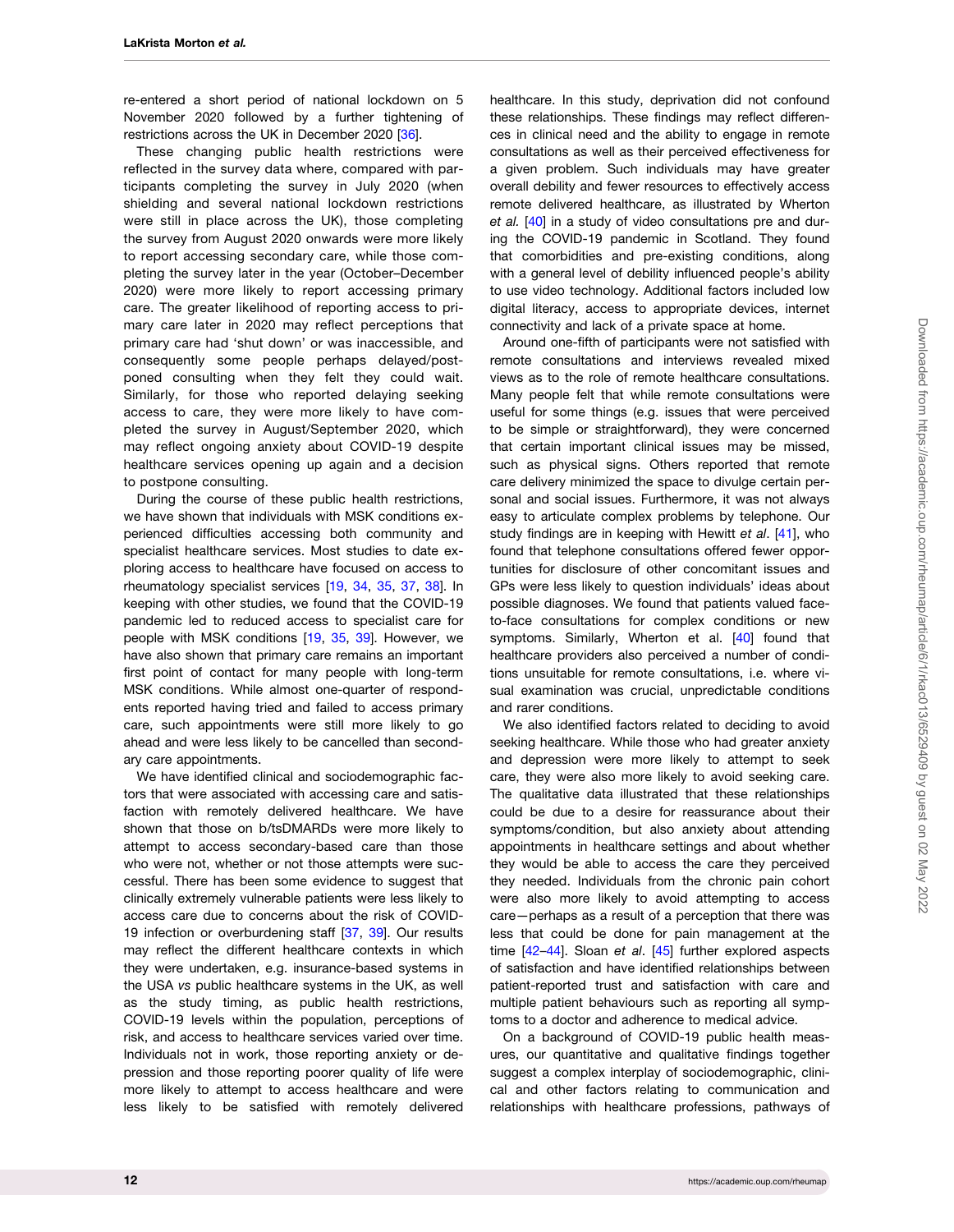<span id="page-11-0"></span>re-entered a short period of national lockdown on 5 November 2020 followed by a further tightening of restrictions across the UK in December 2020 [\[36\]](#page-14-0).

These changing public health restrictions were reflected in the survey data where, compared with participants completing the survey in July 2020 (when shielding and several national lockdown restrictions were still in place across the UK), those completing the survey from August 2020 onwards were more likely to report accessing secondary care, while those completing the survey later in the year (October–December 2020) were more likely to report accessing primary care. The greater likelihood of reporting access to primary care later in 2020 may reflect perceptions that primary care had 'shut down' or was inaccessible, and consequently some people perhaps delayed/postponed consulting when they felt they could wait. Similarly, for those who reported delaying seeking access to care, they were more likely to have completed the survey in August/September 2020, which may reflect ongoing anxiety about COVID-19 despite healthcare services opening up again and a decision to postpone consulting.

During the course of these public health restrictions, we have shown that individuals with MSK conditions experienced difficulties accessing both community and specialist healthcare services. Most studies to date exploring access to healthcare have focused on access to rheumatology specialist services [\[19,](#page-13-0) [34](#page-13-0), [35,](#page-13-0) [37](#page-14-0), [38\]](#page-14-0). In keeping with other studies, we found that the COVID-19 pandemic led to reduced access to specialist care for people with MSK conditions [\[19](#page-13-0), [35](#page-13-0), [39\]](#page-14-0). However, we have also shown that primary care remains an important first point of contact for many people with long-term MSK conditions. While almost one-quarter of respondents reported having tried and failed to access primary care, such appointments were still more likely to go ahead and were less likely to be cancelled than secondary care appointments.

We have identified clinical and sociodemographic factors that were associated with accessing care and satisfaction with remotely delivered healthcare. We have shown that those on b/tsDMARDs were more likely to attempt to access secondary-based care than those who were not, whether or not those attempts were successful. There has been some evidence to suggest that clinically extremely vulnerable patients were less likely to access care due to concerns about the risk of COVID-19 infection or overburdening staff [\[37,](#page-14-0) [39](#page-14-0)]. Our results may reflect the different healthcare contexts in which they were undertaken, e.g. insurance-based systems in the USA vs public healthcare systems in the UK, as well as the study timing, as public health restrictions, COVID-19 levels within the population, perceptions of risk, and access to healthcare services varied over time. Individuals not in work, those reporting anxiety or depression and those reporting poorer quality of life were more likely to attempt to access healthcare and were less likely to be satisfied with remotely delivered

healthcare. In this study, deprivation did not confound these relationships. These findings may reflect differences in clinical need and the ability to engage in remote consultations as well as their perceived effectiveness for a given problem. Such individuals may have greater overall debility and fewer resources to effectively access remote delivered healthcare, as illustrated by Wherton et al. [\[40\]](#page-14-0) in a study of video consultations pre and during the COVID-19 pandemic in Scotland. They found that comorbidities and pre-existing conditions, along with a general level of debility influenced people's ability to use video technology. Additional factors included low digital literacy, access to appropriate devices, internet connectivity and lack of a private space at home.

Around one-fifth of participants were not satisfied with remote consultations and interviews revealed mixed views as to the role of remote healthcare consultations. Many people felt that while remote consultations were useful for some things (e.g. issues that were perceived to be simple or straightforward), they were concerned that certain important clinical issues may be missed, such as physical signs. Others reported that remote care delivery minimized the space to divulge certain personal and social issues. Furthermore, it was not always easy to articulate complex problems by telephone. Our study findings are in keeping with Hewitt et al. [[41](#page-14-0)], who found that telephone consultations offered fewer opportunities for disclosure of other concomitant issues and GPs were less likely to question individuals' ideas about possible diagnoses. We found that patients valued faceto-face consultations for complex conditions or new symptoms. Similarly, Wherton et al. [[40\]](#page-14-0) found that healthcare providers also perceived a number of conditions unsuitable for remote consultations, i.e. where visual examination was crucial, unpredictable conditions and rarer conditions.

We also identified factors related to deciding to avoid seeking healthcare. While those who had greater anxiety and depression were more likely to attempt to seek care, they were also more likely to avoid seeking care. The qualitative data illustrated that these relationships could be due to a desire for reassurance about their symptoms/condition, but also anxiety about attending appointments in healthcare settings and about whether they would be able to access the care they perceived they needed. Individuals from the chronic pain cohort were also more likely to avoid attempting to access care—perhaps as a result of a perception that there was less that could be done for pain management at the time [42-44]. Sloan et al. [[45](#page-14-0)] further explored aspects of satisfaction and have identified relationships between patient-reported trust and satisfaction with care and multiple patient behaviours such as reporting all symptoms to a doctor and adherence to medical advice.

On a background of COVID-19 public health measures, our quantitative and qualitative findings together suggest a complex interplay of sociodemographic, clinical and other factors relating to communication and relationships with healthcare professions, pathways of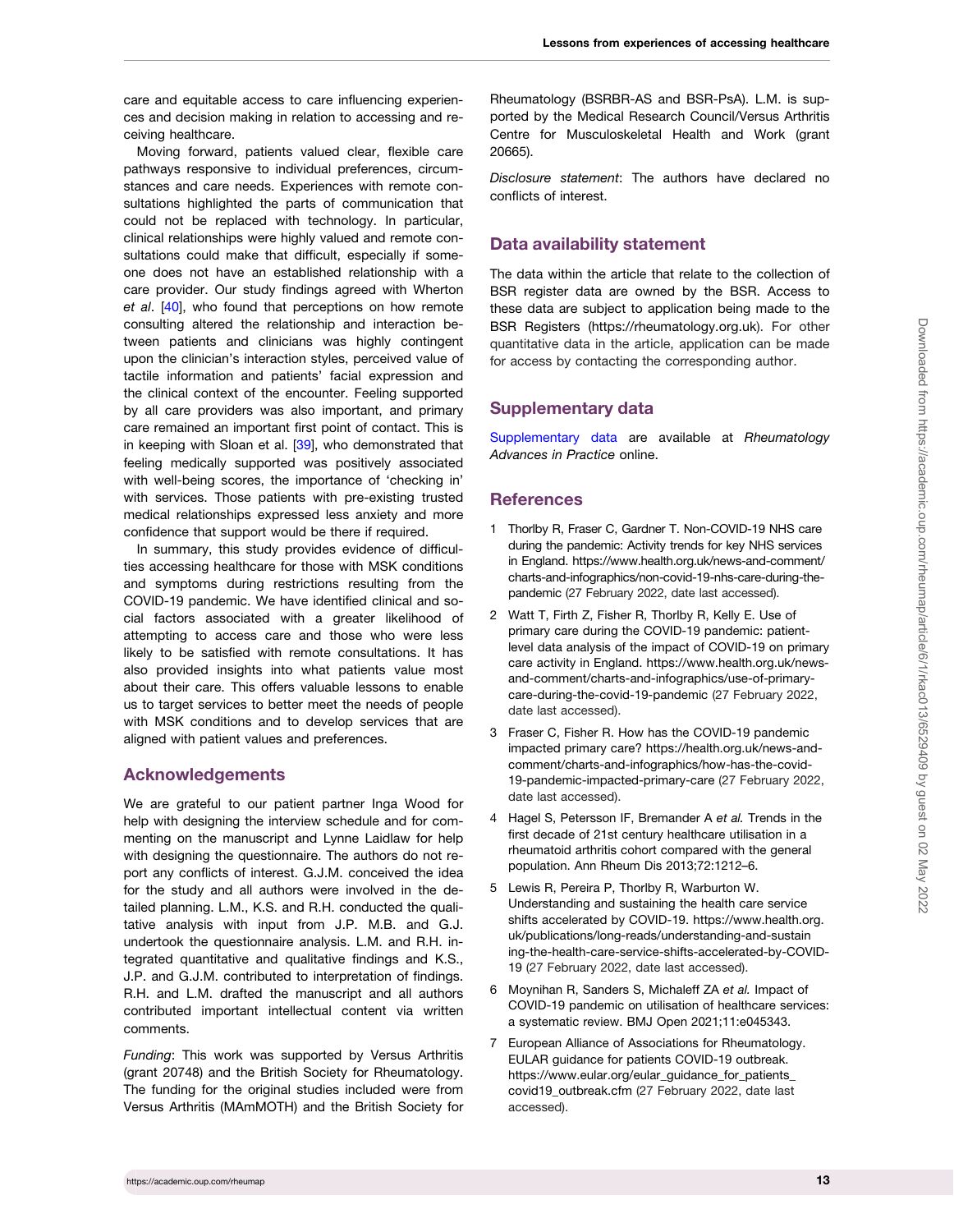<span id="page-12-0"></span>care and equitable access to care influencing experiences and decision making in relation to accessing and receiving healthcare.

Moving forward, patients valued clear, flexible care pathways responsive to individual preferences, circumstances and care needs. Experiences with remote consultations highlighted the parts of communication that could not be replaced with technology. In particular, clinical relationships were highly valued and remote consultations could make that difficult, especially if someone does not have an established relationship with a care provider. Our study findings agreed with Wherton et al. [[40\]](#page-14-0), who found that perceptions on how remote consulting altered the relationship and interaction between patients and clinicians was highly contingent upon the clinician's interaction styles, perceived value of tactile information and patients' facial expression and the clinical context of the encounter. Feeling supported by all care providers was also important, and primary care remained an important first point of contact. This is in keeping with Sloan et al. [\[39\]](#page-14-0), who demonstrated that feeling medically supported was positively associated with well-being scores, the importance of 'checking in' with services. Those patients with pre-existing trusted medical relationships expressed less anxiety and more confidence that support would be there if required.

In summary, this study provides evidence of difficulties accessing healthcare for those with MSK conditions and symptoms during restrictions resulting from the COVID-19 pandemic. We have identified clinical and social factors associated with a greater likelihood of attempting to access care and those who were less likely to be satisfied with remote consultations. It has also provided insights into what patients value most about their care. This offers valuable lessons to enable us to target services to better meet the needs of people with MSK conditions and to develop services that are aligned with patient values and preferences.

## Acknowledgements

We are grateful to our patient partner Inga Wood for help with designing the interview schedule and for commenting on the manuscript and Lynne Laidlaw for help with designing the questionnaire. The authors do not report any conflicts of interest. G.J.M. conceived the idea for the study and all authors were involved in the detailed planning. L.M., K.S. and R.H. conducted the qualitative analysis with input from J.P. M.B. and G.J. undertook the questionnaire analysis. L.M. and R.H. integrated quantitative and qualitative findings and K.S., J.P. and G.J.M. contributed to interpretation of findings. R.H. and L.M. drafted the manuscript and all authors contributed important intellectual content via written comments.

Funding: This work was supported by Versus Arthritis (grant 20748) and the British Society for Rheumatology. The funding for the original studies included were from Versus Arthritis (MAmMOTH) and the British Society for

Rheumatology (BSRBR-AS and BSR-PsA). L.M. is supported by the Medical Research Council/Versus Arthritis Centre for Musculoskeletal Health and Work (grant 20665).

Disclosure statement: The authors have declared no conflicts of interest.

## Data availability statement

The data within the article that relate to the collection of BSR register data are owned by the BSR. Access to these data are subject to application being made to the BSR Registers [\(https://rheumatology.org.uk\)](https://rheumatology.org.uk). For other quantitative data in the article, application can be made for access by contacting the corresponding author.

## Supplementary data

[Supplementary data](https://academic.oup.com/rheumap/article-lookup/doi/10.1093/rap/rkac013#supplementary-data) are available at Rheumatology Advances in Practice online.

## **References**

- [1](#page-1-0) Thorlby R, Fraser C, Gardner T. Non-COVID-19 NHS care during the pandemic: Activity trends for key NHS services in England. [https://www.health.org.uk/news-and-comment/](https://www.health.org.uk/news-and-comment/charts-and-infographics/non-covid-19-nhs-care-during-the-pandemic) [charts-and-infographics/non-covid-19-nhs-care-during-the](https://www.health.org.uk/news-and-comment/charts-and-infographics/non-covid-19-nhs-care-during-the-pandemic)[pandemic](https://www.health.org.uk/news-and-comment/charts-and-infographics/non-covid-19-nhs-care-during-the-pandemic) (27 February 2022, date last accessed).
- [2](#page-1-0) Watt T, Firth Z, Fisher R, Thorlby R, Kelly E. Use of primary care during the COVID-19 pandemic: patientlevel data analysis of the impact of COVID-19 on primary care activity in England. [https://www.health.org.uk/news](https://www.health.org.uk/news-and-comment/charts-and-infographics/use-of-primary-care-during-the-covid-19-pandemic)[and-comment/charts-and-infographics/use-of-primary](https://www.health.org.uk/news-and-comment/charts-and-infographics/use-of-primary-care-during-the-covid-19-pandemic)[care-during-the-covid-19-pandemic](https://www.health.org.uk/news-and-comment/charts-and-infographics/use-of-primary-care-during-the-covid-19-pandemic) (27 February 2022, date last accessed).
- [3](#page-1-0) Fraser C, Fisher R. How has the COVID-19 pandemic impacted primary care? [https://health.org.uk/news-and](https://health.org.uk/news-and-comment/charts-and-infographics/how-has-the-covid-19-pandemic-impacted-primary-care)[comment/charts-and-infographics/how-has-the-covid-](https://health.org.uk/news-and-comment/charts-and-infographics/how-has-the-covid-19-pandemic-impacted-primary-care)[19-pandemic-impacted-primary-care](https://health.org.uk/news-and-comment/charts-and-infographics/how-has-the-covid-19-pandemic-impacted-primary-care) (27 February 2022, date last accessed).
- [4](#page-1-0) Hagel S, Petersson IF, Bremander A et al. Trends in the first decade of 21st century healthcare utilisation in a rheumatoid arthritis cohort compared with the general population. Ann Rheum Dis 2013;72:1212–6.
- [5](#page-1-0) Lewis R, Pereira P, Thorlby R, Warburton W. Understanding and sustaining the health care service shifts accelerated by COVID-19. [https://www.health.org.](https://www.health.org.uk/publications/long-reads/understanding-and-sustaining-the-health-care-service-shifts-accelerated-by-COVID-19) [uk/publications/long-reads/understanding-and-sustain](https://www.health.org.uk/publications/long-reads/understanding-and-sustaining-the-health-care-service-shifts-accelerated-by-COVID-19) [ing-the-health-care-service-shifts-accelerated-by-COVID-](https://www.health.org.uk/publications/long-reads/understanding-and-sustaining-the-health-care-service-shifts-accelerated-by-COVID-19)[19](https://www.health.org.uk/publications/long-reads/understanding-and-sustaining-the-health-care-service-shifts-accelerated-by-COVID-19) (27 February 2022, date last accessed).
- [6](#page-1-0) Moynihan R, Sanders S, Michaleff ZA et al. Impact of COVID-19 pandemic on utilisation of healthcare services: a systematic review. BMJ Open 2021;11:e045343.
- [7](#page-1-0) European Alliance of Associations for Rheumatology. EULAR guidance for patients COVID-19 outbreak. [https://www.eular.org/eular\\_guidance\\_for\\_patients\\_](https://www.eular.org/eular_guidance_for_patients_covid19_outbreak.cfm) [covid19\\_outbreak.cfm](https://www.eular.org/eular_guidance_for_patients_covid19_outbreak.cfm) (27 February 2022, date last accessed).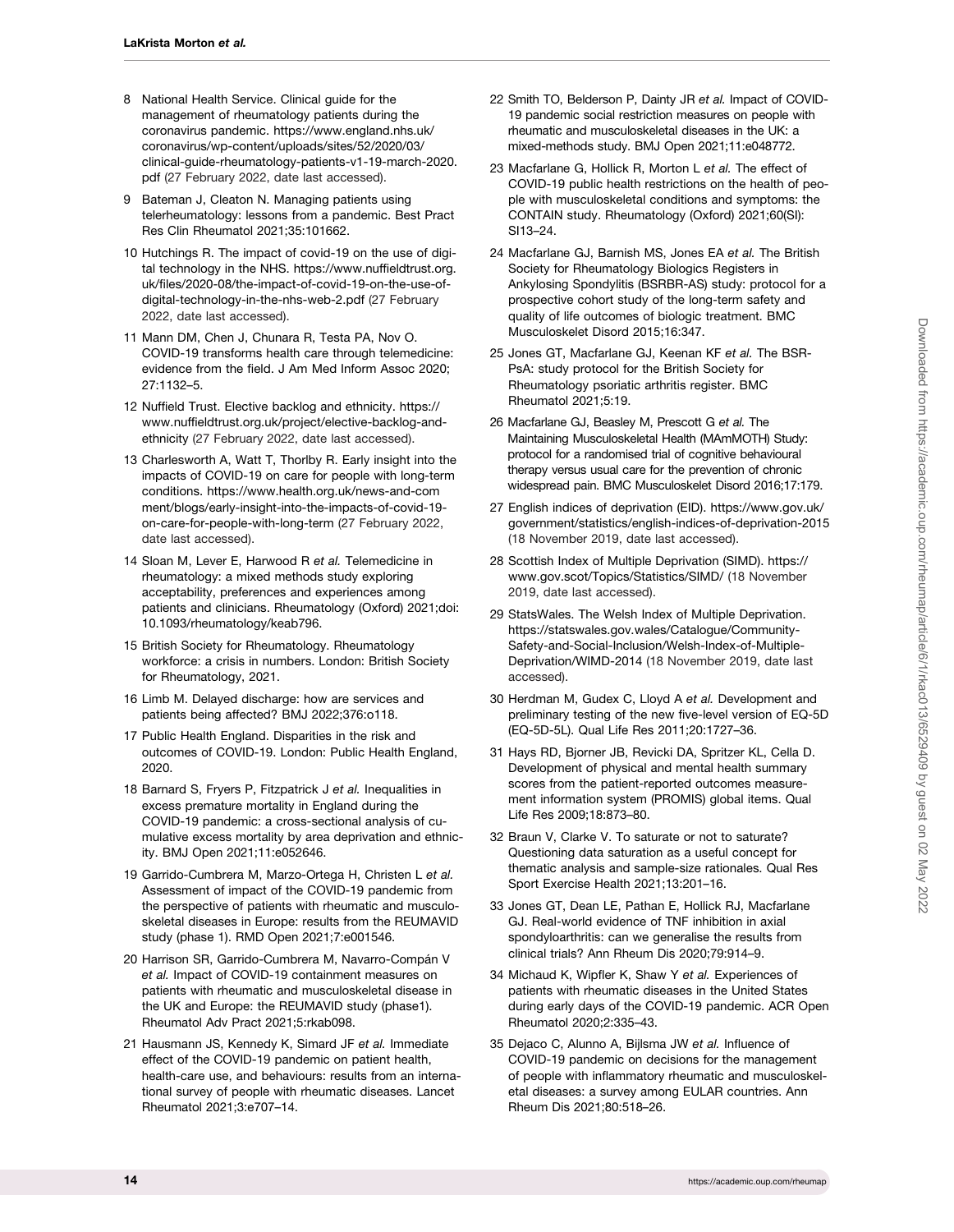- <span id="page-13-0"></span>[8](#page-1-0) National Health Service. Clinical guide for the management of rheumatology patients during the coronavirus pandemic. [https://www.england.nhs.uk/](https://www.england.nhs.uk/coronavirus/wp-content/uploads/sites/52/2020/03/clinical-guide-rheumatology-patients-v1-19-march-2020.pdf) [coronavirus/wp-content/uploads/sites/52/2020/03/](https://www.england.nhs.uk/coronavirus/wp-content/uploads/sites/52/2020/03/clinical-guide-rheumatology-patients-v1-19-march-2020.pdf) [clinical-guide-rheumatology-patients-v1-19-march-2020.](https://www.england.nhs.uk/coronavirus/wp-content/uploads/sites/52/2020/03/clinical-guide-rheumatology-patients-v1-19-march-2020.pdf) [pdf](https://www.england.nhs.uk/coronavirus/wp-content/uploads/sites/52/2020/03/clinical-guide-rheumatology-patients-v1-19-march-2020.pdf) (27 February 2022, date last accessed).
- 9 Bateman J, Cleaton N. Managing patients using telerheumatology: lessons from a pandemic. Best Pract Res Clin Rheumatol 2021;35:101662.
- [10](#page-1-0) Hutchings R. The impact of covid-19 on the use of digital technology in the NHS. [https://www.nuffieldtrust.org.](https://www.nuffieldtrust.org.uk/files/2020-08/the-impact-of-covid-19-on-the-use-of-digital-technology-in-the-nhs-web-2.pdf) [uk/files/2020-08/the-impact-of-covid-19-on-the-use-of](https://www.nuffieldtrust.org.uk/files/2020-08/the-impact-of-covid-19-on-the-use-of-digital-technology-in-the-nhs-web-2.pdf)[digital-technology-in-the-nhs-web-2.pdf](https://www.nuffieldtrust.org.uk/files/2020-08/the-impact-of-covid-19-on-the-use-of-digital-technology-in-the-nhs-web-2.pdf) (27 February 2022, date last accessed).
- [11](#page-3-0) Mann DM, Chen J, Chunara R, Testa PA, Nov O. COVID-19 transforms health care through telemedicine: evidence from the field. J Am Med Inform Assoc 2020; 27:1132–5.
- [12](#page-1-0) Nuffield Trust. Elective backlog and ethnicity. [https://](https://www.nuffieldtrust.org.uk/project/elective-backlog-and-ethnicity) [www.nuffieldtrust.org.uk/project/elective-backlog-and](https://www.nuffieldtrust.org.uk/project/elective-backlog-and-ethnicity)[ethnicity](https://www.nuffieldtrust.org.uk/project/elective-backlog-and-ethnicity) (27 February 2022, date last accessed).
- [13](#page-1-0) Charlesworth A, Watt T, Thorlby R. Early insight into the impacts of COVID-19 on care for people with long-term conditions. [https://www.health.org.uk/news-and-com](https://www.health.org.uk/news-and-comment/blogs/early-insight-into-the-impacts-of-covid-19-on-care-for-people-with-long-term) [ment/blogs/early-insight-into-the-impacts-of-covid-19](https://www.health.org.uk/news-and-comment/blogs/early-insight-into-the-impacts-of-covid-19-on-care-for-people-with-long-term) [on-care-for-people-with-long-term](https://www.health.org.uk/news-and-comment/blogs/early-insight-into-the-impacts-of-covid-19-on-care-for-people-with-long-term) (27 February 2022, date last accessed).
- [14](#page-1-0) Sloan M, Lever E, Harwood R et al. Telemedicine in rheumatology: a mixed methods study exploring acceptability, preferences and experiences among patients and clinicians. Rheumatology (Oxford) 2021;doi: 10.1093/rheumatology/keab796.
- [15](#page-1-0) British Society for Rheumatology. Rheumatology workforce: a crisis in numbers. London: British Society for Rheumatology, 2021.
- [16](#page-1-0) Limb M. Delayed discharge: how are services and patients being affected? BMJ 2022;376:o118.
- [17](#page-1-0) Public Health England. Disparities in the risk and outcomes of COVID-19. London: Public Health England, 2020.
- [18](#page-1-0) Barnard S, Fryers P, Fitzpatrick J et al. Inequalities in excess premature mortality in England during the COVID-19 pandemic: a cross-sectional analysis of cumulative excess mortality by area deprivation and ethnicity. BMJ Open 2021;11:e052646.
- [19](#page-11-0) Garrido-Cumbrera M, Marzo-Ortega H, Christen L et al. Assessment of impact of the COVID-19 pandemic from the perspective of patients with rheumatic and musculoskeletal diseases in Europe: results from the REUMAVID study (phase 1). RMD Open 2021;7:e001546.
- 20 Harrison SR, Garrido-Cumbrera M, Navarro-Compán V et al. Impact of COVID-19 containment measures on patients with rheumatic and musculoskeletal disease in the UK and Europe: the REUMAVID study (phase1). Rheumatol Adv Pract 2021;5:rkab098.
- [21](#page-10-0) Hausmann JS, Kennedy K, Simard JF et al. Immediate effect of the COVID-19 pandemic on patient health, health-care use, and behaviours: results from an international survey of people with rheumatic diseases. Lancet Rheumatol 2021;3:e707–14.
- 22 Smith TO, Belderson P, Dainty JR et al. Impact of COVID-19 pandemic social restriction measures on people with rheumatic and musculoskeletal diseases in the UK: a mixed-methods study. BMJ Open 2021;11:e048772.
- [23](#page-1-0) Macfarlane G, Hollick R, Morton L et al. The effect of COVID-19 public health restrictions on the health of people with musculoskeletal conditions and symptoms: the CONTAIN study. Rheumatology (Oxford) 2021;60(SI): SI13–24.
- [24](#page-1-0) Macfarlane GJ, Barnish MS, Jones EA et al. The British Society for Rheumatology Biologics Registers in Ankylosing Spondylitis (BSRBR-AS) study: protocol for a prospective cohort study of the long-term safety and quality of life outcomes of biologic treatment. BMC Musculoskelet Disord 2015;16:347.
- [25](#page-1-0) Jones GT, Macfarlane GJ, Keenan KF et al. The BSR-PsA: study protocol for the British Society for Rheumatology psoriatic arthritis register. BMC Rheumatol 2021;5:19.
- [26](#page-2-0) Macfarlane GJ, Beasley M, Prescott G et al. The Maintaining Musculoskeletal Health (MAmMOTH) Study: protocol for a randomised trial of cognitive behavioural therapy versus usual care for the prevention of chronic widespread pain. BMC Musculoskelet Disord 2016;17:179.
- [27](#page-2-0) English indices of deprivation (EID). [https://www.gov.uk/](https://www.gov.uk/government/statistics/english-indices-of-deprivation-2015) [government/statistics/english-indices-of-deprivation-2015](https://www.gov.uk/government/statistics/english-indices-of-deprivation-2015) (18 November 2019, date last accessed).
- [28](#page-2-0) Scottish Index of Multiple Deprivation (SIMD). [https://](https://www.gov.scot/Topics/Statistics/SIMD/) [www.gov.scot/Topics/Statistics/SIMD/](https://www.gov.scot/Topics/Statistics/SIMD/) (18 November 2019, date last accessed).
- [29](#page-2-0) StatsWales. The Welsh Index of Multiple Deprivation. [https://statswales.gov.wales/Catalogue/Community-](https://statswales.gov.wales/Catalogue/Community-Safety-and-Social-Inclusion/Welsh-Index-of-Multiple-Deprivation/WIMD-2014)[Safety-and-Social-Inclusion/Welsh-Index-of-Multiple-](https://statswales.gov.wales/Catalogue/Community-Safety-and-Social-Inclusion/Welsh-Index-of-Multiple-Deprivation/WIMD-2014)[Deprivation/WIMD-2014](https://statswales.gov.wales/Catalogue/Community-Safety-and-Social-Inclusion/Welsh-Index-of-Multiple-Deprivation/WIMD-2014) (18 November 2019, date last accessed).
- [30](#page-2-0) Herdman M, Gudex C, Lloyd A et al. Development and preliminary testing of the new five-level version of EQ-5D (EQ-5D-5L). Qual Life Res 2011;20:1727–36.
- [31](#page-2-0) Hays RD, Bjorner JB, Revicki DA, Spritzer KL, Cella D. Development of physical and mental health summary scores from the patient-reported outcomes measurement information system (PROMIS) global items. Qual Life Res 2009;18:873–80.
- [32](#page-2-0) Braun V, Clarke V. To saturate or not to saturate? Questioning data saturation as a useful concept for thematic analysis and sample-size rationales. Qual Res Sport Exercise Health 2021;13:201–16.
- [33](#page-10-0) Jones GT, Dean LE, Pathan E, Hollick RJ, Macfarlane GJ. Real-world evidence of TNF inhibition in axial spondyloarthritis: can we generalise the results from clinical trials? Ann Rheum Dis 2020;79:914–9.
- [34](#page-10-0) Michaud K, Wipfler K, Shaw Y et al. Experiences of patients with rheumatic diseases in the United States during early days of the COVID-19 pandemic. ACR Open Rheumatol 2020;2:335–43.
- [35](#page-10-0) Dejaco C, Alunno A, Bijlsma JW et al. Influence of COVID-19 pandemic on decisions for the management of people with inflammatory rheumatic and musculoskeletal diseases: a survey among EULAR countries. Ann Rheum Dis 2021;80:518–26.